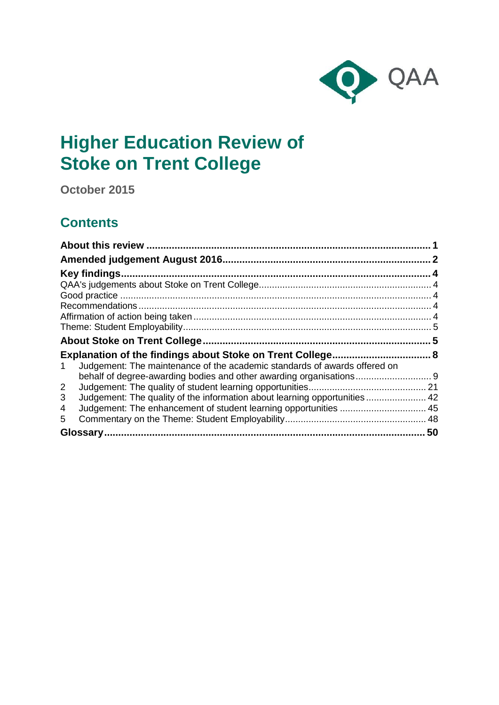

# **Higher Education Review of Stoke on Trent College**

**October 2015**

# **Contents**

| Key findings.                                                                   |    |
|---------------------------------------------------------------------------------|----|
|                                                                                 |    |
|                                                                                 |    |
|                                                                                 |    |
|                                                                                 |    |
|                                                                                 |    |
|                                                                                 |    |
|                                                                                 |    |
| Judgement: The maintenance of the academic standards of awards offered on<br>1  |    |
| behalf of degree-awarding bodies and other awarding organisations 9             |    |
| $\overline{2}$                                                                  |    |
| Judgement: The quality of the information about learning opportunities  42<br>3 |    |
| 4                                                                               |    |
| 5                                                                               |    |
|                                                                                 | 50 |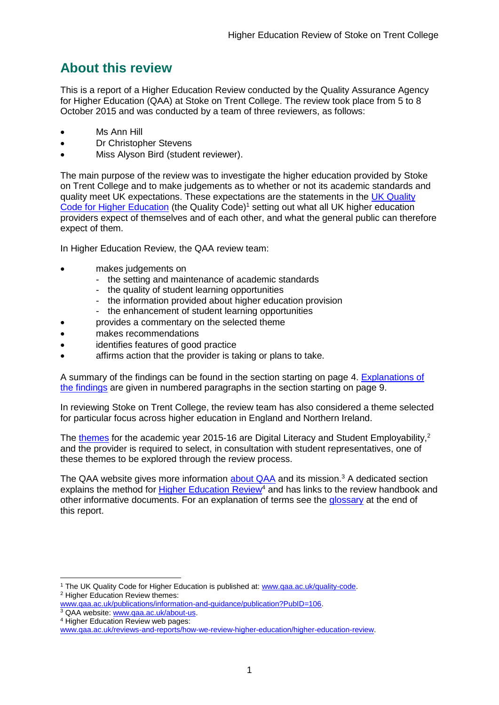# <span id="page-1-0"></span>**About this review**

This is a report of a Higher Education Review conducted by the Quality Assurance Agency for Higher Education (QAA) at Stoke on Trent College. The review took place from 5 to 8 October 2015 and was conducted by a team of three reviewers, as follows:

- Ms Ann Hill
- Dr Christopher Stevens
- Miss Alyson Bird (student reviewer).

The main purpose of the review was to investigate the higher education provided by Stoke on Trent College and to make judgements as to whether or not its academic standards and quality meet UK expectations. These expectations are the statements in the [UK Quality](http://www.qaa.ac.uk/assuring-standards-and-quality/the-quality-code)  [Code for Higher Education](http://www.qaa.ac.uk/assuring-standards-and-quality/the-quality-code) (the Quality Code)<sup>1</sup> setting out what all UK higher education [providers](http://newlive.qaa.ac.uk/AboutUs/glossary/Pages/glossary-h.aspx#h2.1) expect of themselves and of each other, and what the general public can therefore expect of them.

In Higher Education Review, the QAA review team:

- makes judgements on
	- the setting and maintenance of academic standards
	- the quality of student learning opportunities
	- the information provided about higher education provision
	- the enhancement of student learning opportunities
	- provides a commentary on the selected theme
- makes recommendations
- identifies features of good practice
- affirms action that the provider is taking or plans to take.

A summary of the findings can be found in the section starting on page 4. [Explanations of](#page-8-0)  [the findings](#page-8-0) are given in numbered paragraphs in the section starting on page 9.

In reviewing Stoke on Trent College, the review team has also considered a theme selected for particular focus across higher education in England and Northern Ireland.

The [themes](http://www.qaa.ac.uk/publications/information-and-guidance/publication?PubID=106) for the academic year 2015-16 are Digital Literacy and Student Employability,<sup>2</sup> and the provider is required to select, in consultation with student representatives, one of these themes to be explored through the review process.

The QAA website gives more information [about QAA](http://www.qaa.ac.uk/aboutus/pages/default.aspx) and its mission.<sup>3</sup> A dedicated section explains the method for **Higher Education Review<sup>4</sup>** and has links to the review handbook and other informative documents. For an explanation of terms see the [glossary](#page-49-0) at the end of this report.

<sup>-</sup><sup>1</sup> The UK Quality Code for Higher Education is published at: [www.qaa.ac.uk/quality-code.](http://www.qaa.ac.uk/quality-code) <sup>2</sup> Higher Education Review themes:

[www.qaa.ac.uk/publications/information-and-guidance/publication?PubID=106.](http://www.qaa.ac.uk/publications/information-and-guidance/publication?PubID=106) <sup>3</sup> QAA website: [www.qaa.ac.uk/about-us.](http://www.qaa.ac.uk/about-us)

<sup>4</sup> Higher Education Review web pages:

[www.qaa.ac.uk/reviews-and-reports/how-we-review-higher-education/higher-education-review.](http://www.qaa.ac.uk/reviews-and-reports/how-we-review-higher-education/higher-education-review)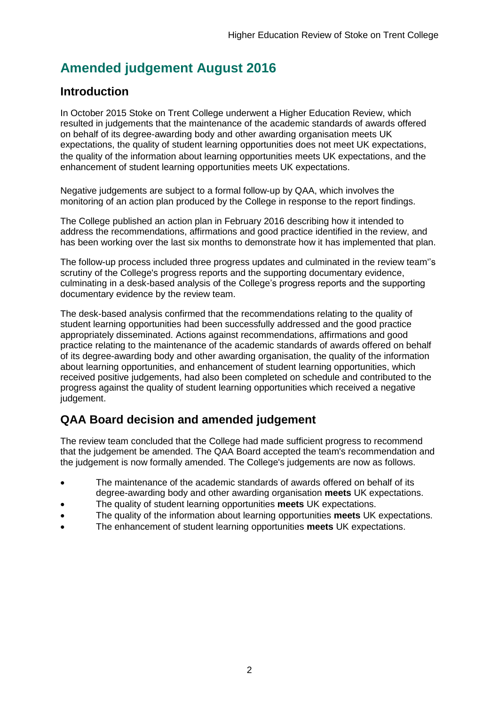# <span id="page-2-0"></span>**Amended judgement August 2016**

### **Introduction**

In October 2015 Stoke on Trent College underwent a Higher Education Review, which resulted in judgements that the maintenance of the academic standards of awards offered on behalf of its degree-awarding body and other awarding organisation meets UK expectations, the quality of student learning opportunities does not meet UK expectations, the quality of the information about learning opportunities meets UK expectations, and the enhancement of student learning opportunities meets UK expectations.

Negative judgements are subject to a formal follow-up by QAA, which involves the monitoring of an action plan produced by the College in response to the report findings.

The College published an action plan in February 2016 describing how it intended to address the recommendations, affirmations and good practice identified in the review, and has been working over the last six months to demonstrate how it has implemented that plan.

The follow-up process included three progress updates and culminated in the review team''s scrutiny of the College's progress reports and the supporting documentary evidence, culminating in a desk-based analysis of the College's progress reports and the supporting documentary evidence by the review team.

The desk-based analysis confirmed that the recommendations relating to the quality of student learning opportunities had been successfully addressed and the good practice appropriately disseminated. Actions against recommendations, affirmations and good practice relating to the maintenance of the academic standards of awards offered on behalf of its degree-awarding body and other awarding organisation, the quality of the information about learning opportunities, and enhancement of student learning opportunities, which received positive judgements, had also been completed on schedule and contributed to the progress against the quality of student learning opportunities which received a negative judgement.

# **QAA Board decision and amended judgement**

The review team concluded that the College had made sufficient progress to recommend that the judgement be amended. The QAA Board accepted the team's recommendation and the judgement is now formally amended. The College's judgements are now as follows.

- The maintenance of the academic standards of awards offered on behalf of its degree-awarding body and other awarding organisation **meets** UK expectations.
- The quality of student learning opportunities **meets** UK expectations.
- The quality of the information about learning opportunities **meets** UK expectations.
- The enhancement of student learning opportunities **meets** UK expectations.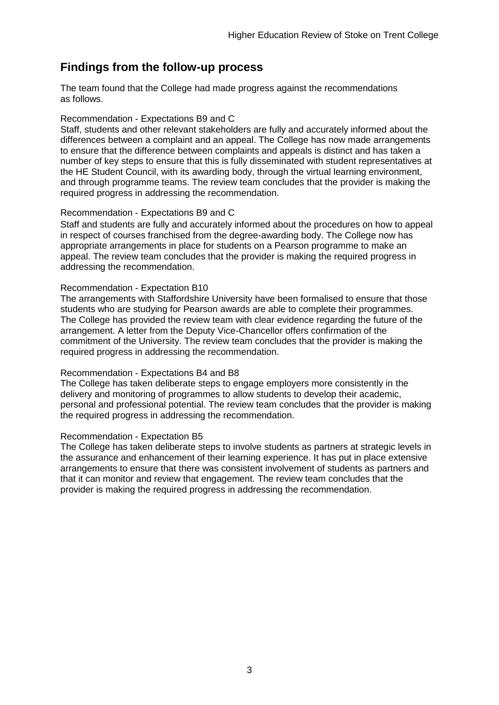### **Findings from the follow-up process**

The team found that the College had made progress against the recommendations as follows.

#### Recommendation - Expectations B9 and C

Staff, students and other relevant stakeholders are fully and accurately informed about the differences between a complaint and an appeal. The College has now made arrangements to ensure that the difference between complaints and appeals is distinct and has taken a number of key steps to ensure that this is fully disseminated with student representatives at the HE Student Council, with its awarding body, through the virtual learning environment, and through programme teams. The review team concludes that the provider is making the required progress in addressing the recommendation.

#### Recommendation - Expectations B9 and C

Staff and students are fully and accurately informed about the procedures on how to appeal in respect of courses franchised from the degree-awarding body. The College now has appropriate arrangements in place for students on a Pearson programme to make an appeal. The review team concludes that the provider is making the required progress in addressing the recommendation.

#### Recommendation - Expectation B10

The arrangements with Staffordshire University have been formalised to ensure that those students who are studying for Pearson awards are able to complete their programmes. The College has provided the review team with clear evidence regarding the future of the arrangement. A letter from the Deputy Vice-Chancellor offers confirmation of the commitment of the University. The review team concludes that the provider is making the required progress in addressing the recommendation.

#### Recommendation - Expectations B4 and B8

The College has taken deliberate steps to engage employers more consistently in the delivery and monitoring of programmes to allow students to develop their academic, personal and professional potential. The review team concludes that the provider is making the required progress in addressing the recommendation.

#### Recommendation - Expectation B5

The College has taken deliberate steps to involve students as partners at strategic levels in the assurance and enhancement of their learning experience. It has put in place extensive arrangements to ensure that there was consistent involvement of students as partners and that it can monitor and review that engagement. The review team concludes that the provider is making the required progress in addressing the recommendation.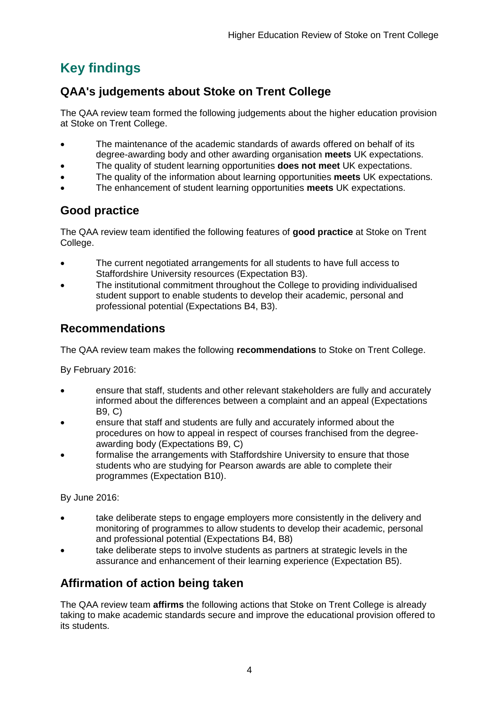# <span id="page-4-0"></span>**Key findings**

# <span id="page-4-1"></span>**QAA's judgements about Stoke on Trent College**

The QAA review team formed the following judgements about the higher education provision at Stoke on Trent College.

- The maintenance of the academic standards of awards offered on behalf of its degree-awarding body and other awarding organisation **meets** UK expectations.
- The quality of student learning opportunities **does not meet** UK expectations.
- The quality of the information about learning opportunities **meets** UK expectations.
- The enhancement of student learning opportunities **meets** UK expectations.

# <span id="page-4-2"></span>**Good practice**

The QAA review team identified the following features of **good practice** at Stoke on Trent College.

- The current negotiated arrangements for all students to have full access to Staffordshire University resources (Expectation B3).
- The institutional commitment throughout the College to providing individualised student support to enable students to develop their academic, personal and professional potential (Expectations B4, B3).

### <span id="page-4-3"></span>**Recommendations**

The QAA review team makes the following **recommendations** to Stoke on Trent College.

By February 2016:

- ensure that staff, students and other relevant stakeholders are fully and accurately informed about the differences between a complaint and an appeal (Expectations B9, C)
- ensure that staff and students are fully and accurately informed about the procedures on how to appeal in respect of courses franchised from the degreeawarding body (Expectations B9, C)
- formalise the arrangements with Staffordshire University to ensure that those students who are studying for Pearson awards are able to complete their programmes (Expectation B10).

By June 2016:

- take deliberate steps to engage employers more consistently in the delivery and monitoring of programmes to allow students to develop their academic, personal and professional potential (Expectations B4, B8)
- take deliberate steps to involve students as partners at strategic levels in the assurance and enhancement of their learning experience (Expectation B5).

# <span id="page-4-4"></span>**Affirmation of action being taken**

The QAA review team **affirms** the following actions that Stoke on Trent College is already taking to make academic standards secure and improve the educational provision offered to its students.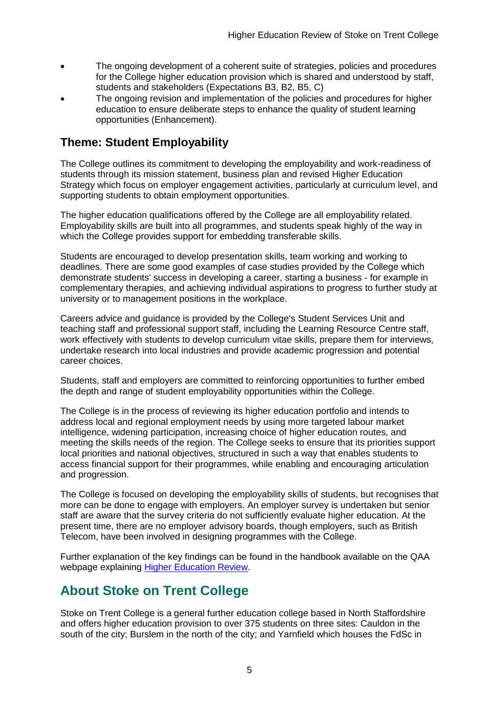- The ongoing development of a coherent suite of strategies, policies and procedures for the College higher education provision which is shared and understood by staff, students and stakeholders (Expectations B3, B2, B5, C)
- The ongoing revision and implementation of the policies and procedures for higher education to ensure deliberate steps to enhance the quality of student learning opportunities (Enhancement).

### <span id="page-5-0"></span>**Theme: Student Employability**

The College outlines its commitment to developing the employability and work-readiness of students through its mission statement, business plan and revised Higher Education Strategy which focus on employer engagement activities, particularly at curriculum level, and supporting students to obtain employment opportunities.

The higher education qualifications offered by the College are all employability related. Employability skills are built into all programmes, and students speak highly of the way in which the College provides support for embedding transferable skills.

Students are encouraged to develop presentation skills, team working and working to deadlines. There are some good examples of case studies provided by the College which demonstrate students' success in developing a career, starting a business - for example in complementary therapies, and achieving individual aspirations to progress to further study at university or to management positions in the workplace.

Careers advice and guidance is provided by the College's Student Services Unit and teaching staff and professional support staff, including the Learning Resource Centre staff, work effectively with students to develop curriculum vitae skills, prepare them for interviews, undertake research into local industries and provide academic progression and potential career choices.

Students, staff and employers are committed to reinforcing opportunities to further embed the depth and range of student employability opportunities within the College.

The College is in the process of reviewing its higher education portfolio and intends to address local and regional employment needs by using more targeted labour market intelligence, widening participation, increasing choice of higher education routes, and meeting the skills needs of the region. The College seeks to ensure that its priorities support local priorities and national objectives, structured in such a way that enables students to access financial support for their programmes, while enabling and encouraging articulation and progression.

The College is focused on developing the employability skills of students, but recognises that more can be done to engage with employers. An employer survey is undertaken but senior staff are aware that the survey criteria do not sufficiently evaluate higher education. At the present time, there are no employer advisory boards, though employers, such as British Telecom, have been involved in designing programmes with the College.

Further explanation of the key findings can be found in the handbook available on the QAA webpage explaining [Higher Education Review.](http://www.qaa.ac.uk/reviews-and-reports/how-we-review-higher-education/higher-education-review)

# <span id="page-5-1"></span>**About Stoke on Trent College**

Stoke on Trent College is a general further education college based in North Staffordshire and offers higher education provision to over 375 students on three sites: Cauldon in the south of the city; Burslem in the north of the city; and Yarnfield which houses the FdSc in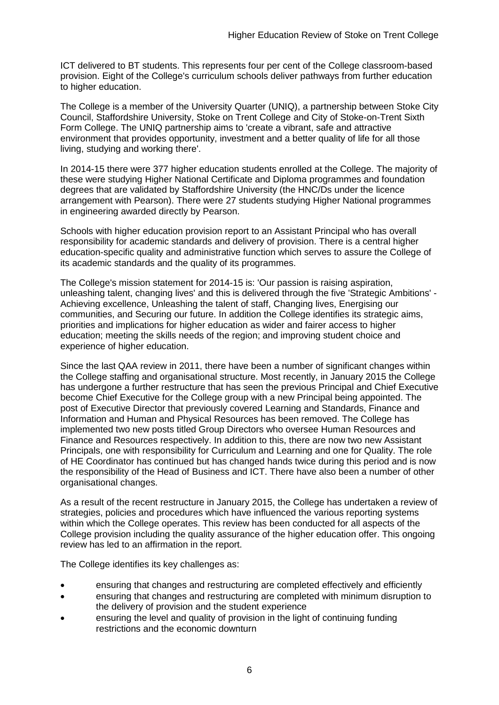ICT delivered to BT students. This represents four per cent of the College classroom-based provision. Eight of the College's curriculum schools deliver pathways from further education to higher education.

The College is a member of the University Quarter (UNIQ), a partnership between Stoke City Council, Staffordshire University, Stoke on Trent College and City of Stoke-on-Trent Sixth Form College. The UNIQ partnership aims to 'create a vibrant, safe and attractive environment that provides opportunity, investment and a better quality of life for all those living, studying and working there'.

In 2014-15 there were 377 higher education students enrolled at the College. The majority of these were studying Higher National Certificate and Diploma programmes and foundation degrees that are validated by Staffordshire University (the HNC/Ds under the licence arrangement with Pearson). There were 27 students studying Higher National programmes in engineering awarded directly by Pearson.

Schools with higher education provision report to an Assistant Principal who has overall responsibility for academic standards and delivery of provision. There is a central higher education-specific quality and administrative function which serves to assure the College of its academic standards and the quality of its programmes.

The College's mission statement for 2014-15 is: 'Our passion is raising aspiration, unleashing talent, changing lives' and this is delivered through the five 'Strategic Ambitions' - Achieving excellence, Unleashing the talent of staff, Changing lives, Energising our communities, and Securing our future. In addition the College identifies its strategic aims, priorities and implications for higher education as wider and fairer access to higher education; meeting the skills needs of the region; and improving student choice and experience of higher education.

Since the last QAA review in 2011, there have been a number of significant changes within the College staffing and organisational structure. Most recently, in January 2015 the College has undergone a further restructure that has seen the previous Principal and Chief Executive become Chief Executive for the College group with a new Principal being appointed. The post of Executive Director that previously covered Learning and Standards, Finance and Information and Human and Physical Resources has been removed. The College has implemented two new posts titled Group Directors who oversee Human Resources and Finance and Resources respectively. In addition to this, there are now two new Assistant Principals, one with responsibility for Curriculum and Learning and one for Quality. The role of HE Coordinator has continued but has changed hands twice during this period and is now the responsibility of the Head of Business and ICT. There have also been a number of other organisational changes.

As a result of the recent restructure in January 2015, the College has undertaken a review of strategies, policies and procedures which have influenced the various reporting systems within which the College operates. This review has been conducted for all aspects of the College provision including the quality assurance of the higher education offer. This ongoing review has led to an affirmation in the report.

The College identifies its key challenges as:

- ensuring that changes and restructuring are completed effectively and efficiently
- ensuring that changes and restructuring are completed with minimum disruption to the delivery of provision and the student experience
- ensuring the level and quality of provision in the light of continuing funding restrictions and the economic downturn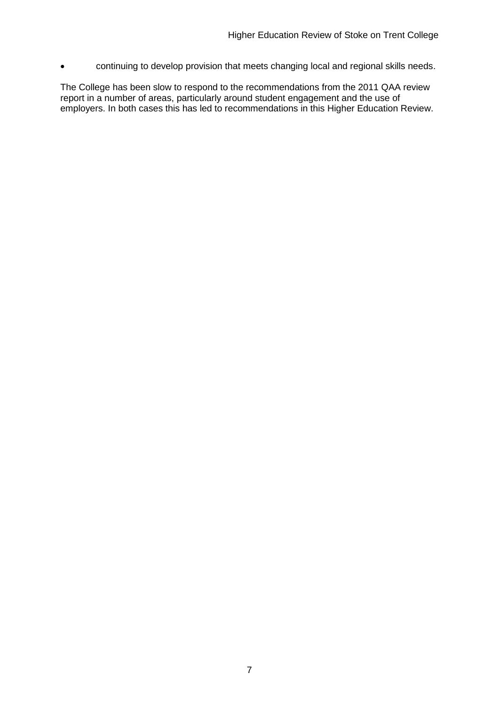continuing to develop provision that meets changing local and regional skills needs.

The College has been slow to respond to the recommendations from the 2011 QAA review report in a number of areas, particularly around student engagement and the use of employers. In both cases this has led to recommendations in this Higher Education Review.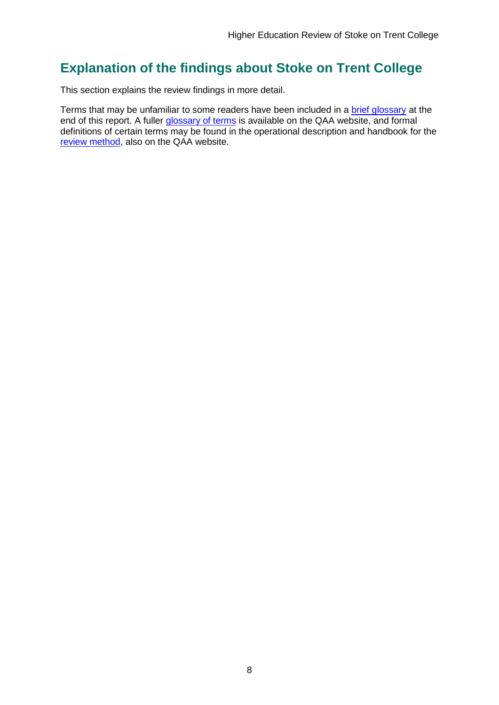# <span id="page-8-0"></span>**Explanation of the findings about Stoke on Trent College**

This section explains the review findings in more detail.

Terms that may be unfamiliar to some readers have been included in a [brief glossary](#page-49-0) at the end of this report. A fuller [glossary of terms](http://www.qaa.ac.uk/Pages/GlossaryEN.aspx) is available on the QAA website, and formal definitions of certain terms may be found in the operational description and handbook for the [review method,](http://www.qaa.ac.uk/reviews-and-reports/how-we-review-higher-education/higher-education-review) also on the QAA website.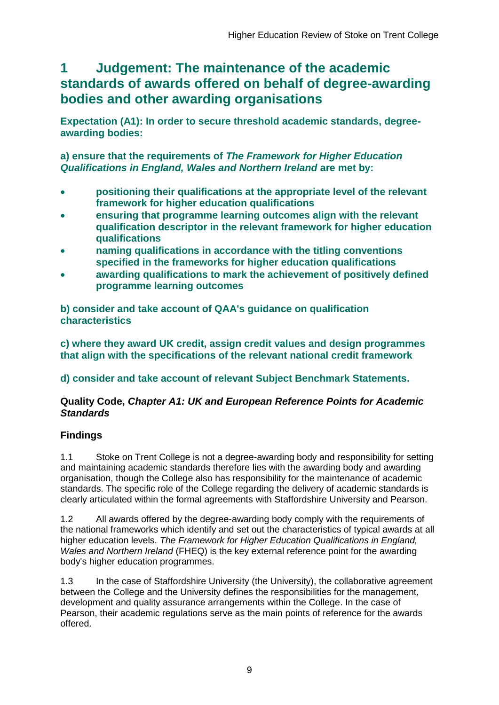# <span id="page-9-0"></span>**1 Judgement: The maintenance of the academic standards of awards offered on behalf of degree-awarding bodies and other awarding organisations**

**Expectation (A1): In order to secure threshold academic standards, degreeawarding bodies:** 

**a) ensure that the requirements of** *The Framework for Higher Education Qualifications in England, Wales and Northern Ireland* **are met by:**

- **positioning their qualifications at the appropriate level of the relevant framework for higher education qualifications**
- **ensuring that programme learning outcomes align with the relevant qualification descriptor in the relevant framework for higher education qualifications**
- **naming qualifications in accordance with the titling conventions specified in the frameworks for higher education qualifications**
- **awarding qualifications to mark the achievement of positively defined programme learning outcomes**

**b) consider and take account of QAA's guidance on qualification characteristics** 

**c) where they award UK credit, assign credit values and design programmes that align with the specifications of the relevant national credit framework** 

**d) consider and take account of relevant Subject Benchmark Statements.**

### **Quality Code,** *Chapter A1: UK and European Reference Points for Academic Standards*

### **Findings**

1.1 Stoke on Trent College is not a degree-awarding body and responsibility for setting and maintaining academic standards therefore lies with the awarding body and awarding organisation, though the College also has responsibility for the maintenance of academic standards. The specific role of the College regarding the delivery of academic standards is clearly articulated within the formal agreements with Staffordshire University and Pearson.

1.2 All awards offered by the degree-awarding body comply with the requirements of the national frameworks which identify and set out the characteristics of typical awards at all higher education levels. *The Framework for Higher Education Qualifications in England, Wales and Northern Ireland* (FHEQ) is the key external reference point for the awarding body's higher education programmes.

1.3 In the case of Staffordshire University (the University), the collaborative agreement between the College and the University defines the responsibilities for the management, development and quality assurance arrangements within the College. In the case of Pearson, their academic regulations serve as the main points of reference for the awards offered.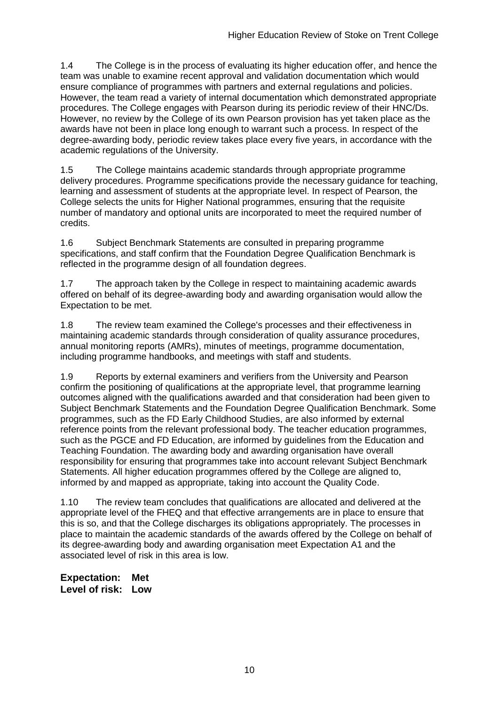1.4 The College is in the process of evaluating its higher education offer, and hence the team was unable to examine recent approval and validation documentation which would ensure compliance of programmes with partners and external regulations and policies. However, the team read a variety of internal documentation which demonstrated appropriate procedures. The College engages with Pearson during its periodic review of their HNC/Ds. However, no review by the College of its own Pearson provision has yet taken place as the awards have not been in place long enough to warrant such a process. In respect of the degree-awarding body, periodic review takes place every five years, in accordance with the academic regulations of the University.

1.5 The College maintains academic standards through appropriate programme delivery procedures. Programme specifications provide the necessary guidance for teaching, learning and assessment of students at the appropriate level. In respect of Pearson, the College selects the units for Higher National programmes, ensuring that the requisite number of mandatory and optional units are incorporated to meet the required number of credits.

1.6 Subject Benchmark Statements are consulted in preparing programme specifications, and staff confirm that the Foundation Degree Qualification Benchmark is reflected in the programme design of all foundation degrees.

1.7 The approach taken by the College in respect to maintaining academic awards offered on behalf of its degree-awarding body and awarding organisation would allow the Expectation to be met.

1.8 The review team examined the College's processes and their effectiveness in maintaining academic standards through consideration of quality assurance procedures, annual monitoring reports (AMRs), minutes of meetings, programme documentation, including programme handbooks, and meetings with staff and students.

1.9 Reports by external examiners and verifiers from the University and Pearson confirm the positioning of qualifications at the appropriate level, that programme learning outcomes aligned with the qualifications awarded and that consideration had been given to Subject Benchmark Statements and the Foundation Degree Qualification Benchmark. Some programmes, such as the FD Early Childhood Studies, are also informed by external reference points from the relevant professional body. The teacher education programmes, such as the PGCE and FD Education, are informed by guidelines from the Education and Teaching Foundation. The awarding body and awarding organisation have overall responsibility for ensuring that programmes take into account relevant Subject Benchmark Statements. All higher education programmes offered by the College are aligned to, informed by and mapped as appropriate, taking into account the Quality Code.

1.10 The review team concludes that qualifications are allocated and delivered at the appropriate level of the FHEQ and that effective arrangements are in place to ensure that this is so, and that the College discharges its obligations appropriately. The processes in place to maintain the academic standards of the awards offered by the College on behalf of its degree-awarding body and awarding organisation meet Expectation A1 and the associated level of risk in this area is low.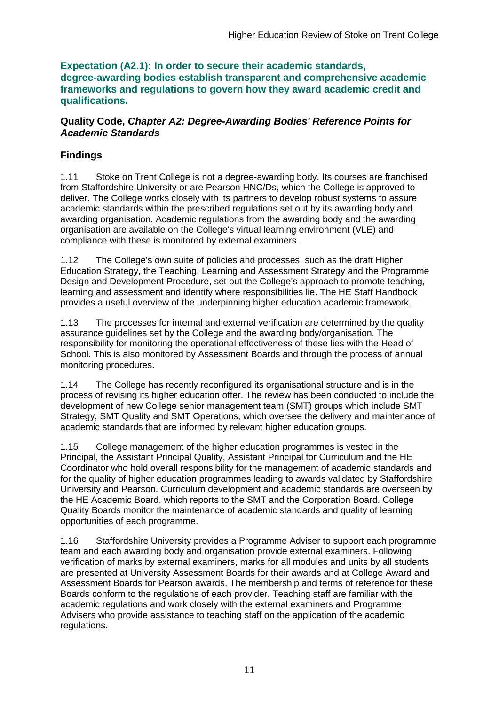**Expectation (A2.1): In order to secure their academic standards, degree-awarding bodies establish transparent and comprehensive academic frameworks and regulations to govern how they award academic credit and qualifications.**

### **Quality Code,** *Chapter A2: Degree-Awarding Bodies' Reference Points for Academic Standards*

### **Findings**

1.11 Stoke on Trent College is not a degree-awarding body. Its courses are franchised from Staffordshire University or are Pearson HNC/Ds, which the College is approved to deliver. The College works closely with its partners to develop robust systems to assure academic standards within the prescribed regulations set out by its awarding body and awarding organisation. Academic regulations from the awarding body and the awarding organisation are available on the College's virtual learning environment (VLE) and compliance with these is monitored by external examiners.

1.12 The College's own suite of policies and processes, such as the draft Higher Education Strategy, the Teaching, Learning and Assessment Strategy and the Programme Design and Development Procedure, set out the College's approach to promote teaching, learning and assessment and identify where responsibilities lie. The HE Staff Handbook provides a useful overview of the underpinning higher education academic framework.

1.13 The processes for internal and external verification are determined by the quality assurance guidelines set by the College and the awarding body/organisation. The responsibility for monitoring the operational effectiveness of these lies with the Head of School. This is also monitored by Assessment Boards and through the process of annual monitoring procedures.

1.14 The College has recently reconfigured its organisational structure and is in the process of revising its higher education offer. The review has been conducted to include the development of new College senior management team (SMT) groups which include SMT Strategy, SMT Quality and SMT Operations, which oversee the delivery and maintenance of academic standards that are informed by relevant higher education groups.

1.15 College management of the higher education programmes is vested in the Principal, the Assistant Principal Quality, Assistant Principal for Curriculum and the HE Coordinator who hold overall responsibility for the management of academic standards and for the quality of higher education programmes leading to awards validated by Staffordshire University and Pearson. Curriculum development and academic standards are overseen by the HE Academic Board, which reports to the SMT and the Corporation Board. College Quality Boards monitor the maintenance of academic standards and quality of learning opportunities of each programme.

1.16 Staffordshire University provides a Programme Adviser to support each programme team and each awarding body and organisation provide external examiners. Following verification of marks by external examiners, marks for all modules and units by all students are presented at University Assessment Boards for their awards and at College Award and Assessment Boards for Pearson awards. The membership and terms of reference for these Boards conform to the regulations of each provider. Teaching staff are familiar with the academic regulations and work closely with the external examiners and Programme Advisers who provide assistance to teaching staff on the application of the academic regulations.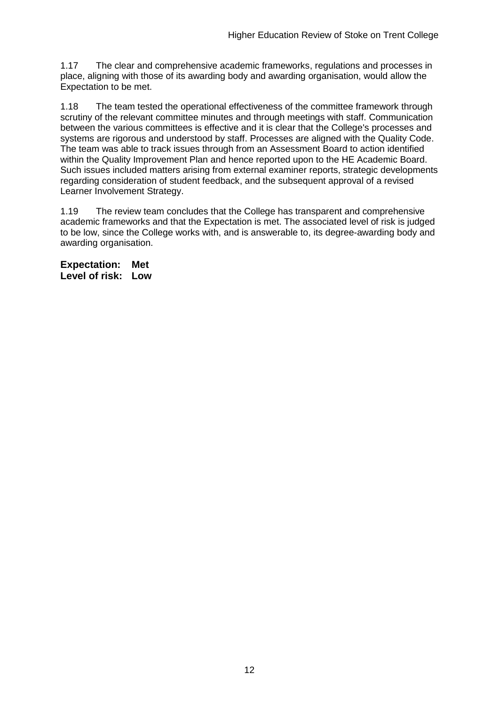1.17 The clear and comprehensive academic frameworks, regulations and processes in place, aligning with those of its awarding body and awarding organisation, would allow the Expectation to be met.

1.18 The team tested the operational effectiveness of the committee framework through scrutiny of the relevant committee minutes and through meetings with staff. Communication between the various committees is effective and it is clear that the College's processes and systems are rigorous and understood by staff. Processes are aligned with the Quality Code. The team was able to track issues through from an Assessment Board to action identified within the Quality Improvement Plan and hence reported upon to the HE Academic Board. Such issues included matters arising from external examiner reports, strategic developments regarding consideration of student feedback, and the subsequent approval of a revised Learner Involvement Strategy.

1.19 The review team concludes that the College has transparent and comprehensive academic frameworks and that the Expectation is met. The associated level of risk is judged to be low, since the College works with, and is answerable to, its degree-awarding body and awarding organisation.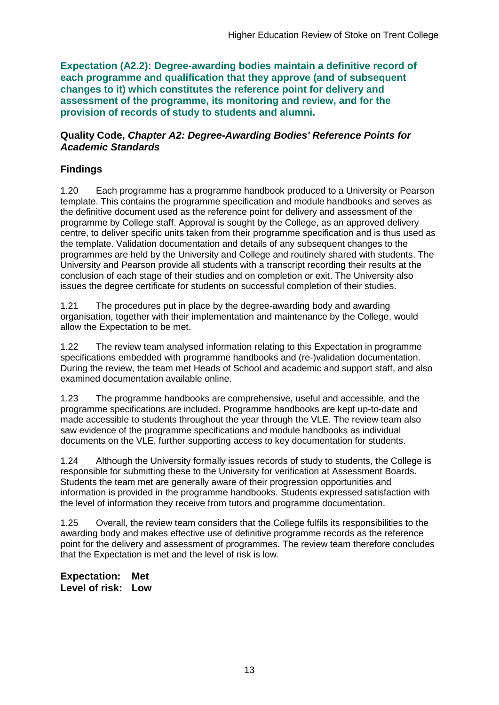**Expectation (A2.2): Degree-awarding bodies maintain a definitive record of each programme and qualification that they approve (and of subsequent changes to it) which constitutes the reference point for delivery and assessment of the programme, its monitoring and review, and for the provision of records of study to students and alumni.** 

#### **Quality Code,** *Chapter A2: Degree-Awarding Bodies' Reference Points for Academic Standards*

### **Findings**

1.20 Each programme has a programme handbook produced to a University or Pearson template. This contains the programme specification and module handbooks and serves as the definitive document used as the reference point for delivery and assessment of the programme by College staff. Approval is sought by the College, as an approved delivery centre, to deliver specific units taken from their programme specification and is thus used as the template. Validation documentation and details of any subsequent changes to the programmes are held by the University and College and routinely shared with students. The University and Pearson provide all students with a transcript recording their results at the conclusion of each stage of their studies and on completion or exit. The University also issues the degree certificate for students on successful completion of their studies.

1.21 The procedures put in place by the degree-awarding body and awarding organisation, together with their implementation and maintenance by the College, would allow the Expectation to be met.

1.22 The review team analysed information relating to this Expectation in programme specifications embedded with programme handbooks and (re-)validation documentation. During the review, the team met Heads of School and academic and support staff, and also examined documentation available online.

1.23 The programme handbooks are comprehensive, useful and accessible, and the programme specifications are included. Programme handbooks are kept up-to-date and made accessible to students throughout the year through the VLE. The review team also saw evidence of the programme specifications and module handbooks as individual documents on the VLE, further supporting access to key documentation for students.

1.24 Although the University formally issues records of study to students, the College is responsible for submitting these to the University for verification at Assessment Boards. Students the team met are generally aware of their progression opportunities and information is provided in the programme handbooks. Students expressed satisfaction with the level of information they receive from tutors and programme documentation.

1.25 Overall, the review team considers that the College fulfils its responsibilities to the awarding body and makes effective use of definitive programme records as the reference point for the delivery and assessment of programmes. The review team therefore concludes that the Expectation is met and the level of risk is low.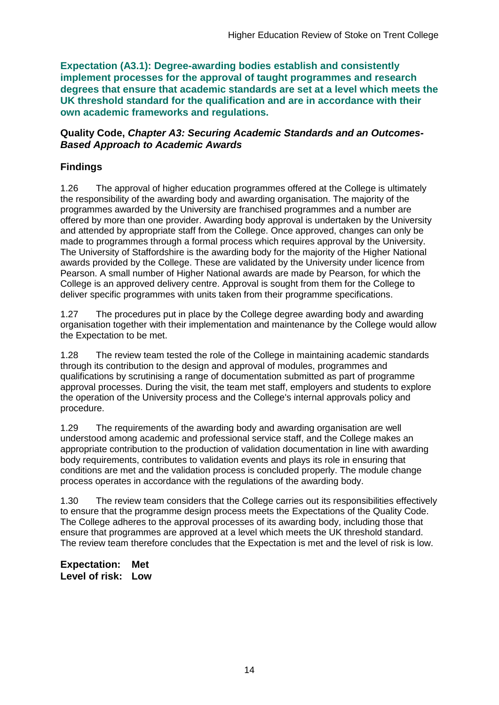**Expectation (A3.1): Degree-awarding bodies establish and consistently implement processes for the approval of taught programmes and research degrees that ensure that academic standards are set at a level which meets the UK threshold standard for the qualification and are in accordance with their own academic frameworks and regulations.**

#### **Quality Code,** *Chapter A3: Securing Academic Standards and an Outcomes-Based Approach to Academic Awards*

### **Findings**

1.26 The approval of higher education programmes offered at the College is ultimately the responsibility of the awarding body and awarding organisation. The majority of the programmes awarded by the University are franchised programmes and a number are offered by more than one provider. Awarding body approval is undertaken by the University and attended by appropriate staff from the College. Once approved, changes can only be made to programmes through a formal process which requires approval by the University. The University of Staffordshire is the awarding body for the majority of the Higher National awards provided by the College. These are validated by the University under licence from Pearson. A small number of Higher National awards are made by Pearson, for which the College is an approved delivery centre. Approval is sought from them for the College to deliver specific programmes with units taken from their programme specifications.

1.27 The procedures put in place by the College degree awarding body and awarding organisation together with their implementation and maintenance by the College would allow the Expectation to be met.

1.28 The review team tested the role of the College in maintaining academic standards through its contribution to the design and approval of modules, programmes and qualifications by scrutinising a range of documentation submitted as part of programme approval processes. During the visit, the team met staff, employers and students to explore the operation of the University process and the College's internal approvals policy and procedure.

1.29 The requirements of the awarding body and awarding organisation are well understood among academic and professional service staff, and the College makes an appropriate contribution to the production of validation documentation in line with awarding body requirements, contributes to validation events and plays its role in ensuring that conditions are met and the validation process is concluded properly. The module change process operates in accordance with the regulations of the awarding body.

1.30 The review team considers that the College carries out its responsibilities effectively to ensure that the programme design process meets the Expectations of the Quality Code. The College adheres to the approval processes of its awarding body, including those that ensure that programmes are approved at a level which meets the UK threshold standard. The review team therefore concludes that the Expectation is met and the level of risk is low.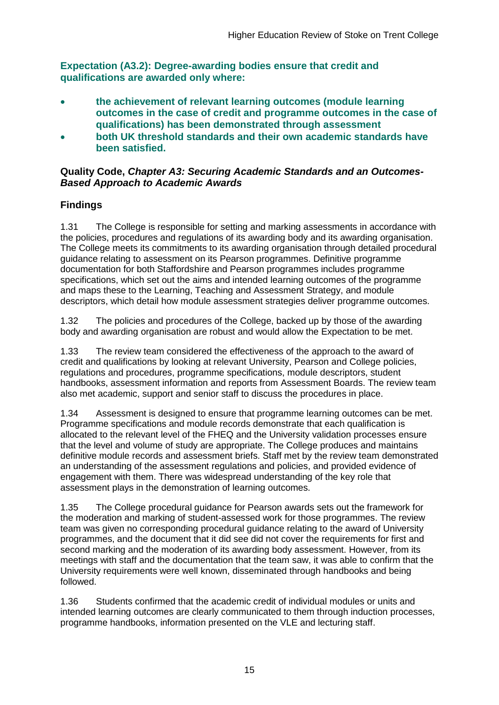**Expectation (A3.2): Degree-awarding bodies ensure that credit and qualifications are awarded only where:** 

- **the achievement of relevant learning outcomes (module learning outcomes in the case of credit and programme outcomes in the case of qualifications) has been demonstrated through assessment**
- **both UK threshold standards and their own academic standards have been satisfied.**

### **Quality Code,** *Chapter A3: Securing Academic Standards and an Outcomes-Based Approach to Academic Awards*

### **Findings**

1.31 The College is responsible for setting and marking assessments in accordance with the policies, procedures and regulations of its awarding body and its awarding organisation. The College meets its commitments to its awarding organisation through detailed procedural guidance relating to assessment on its Pearson programmes. Definitive programme documentation for both Staffordshire and Pearson programmes includes programme specifications, which set out the aims and intended learning outcomes of the programme and maps these to the Learning, Teaching and Assessment Strategy, and module descriptors, which detail how module assessment strategies deliver programme outcomes.

1.32 The policies and procedures of the College, backed up by those of the awarding body and awarding organisation are robust and would allow the Expectation to be met.

1.33 The review team considered the effectiveness of the approach to the award of credit and qualifications by looking at relevant University, Pearson and College policies, regulations and procedures, programme specifications, module descriptors, student handbooks, assessment information and reports from Assessment Boards. The review team also met academic, support and senior staff to discuss the procedures in place.

1.34 Assessment is designed to ensure that programme learning outcomes can be met. Programme specifications and module records demonstrate that each qualification is allocated to the relevant level of the FHEQ and the University validation processes ensure that the level and volume of study are appropriate. The College produces and maintains definitive module records and assessment briefs. Staff met by the review team demonstrated an understanding of the assessment regulations and policies, and provided evidence of engagement with them. There was widespread understanding of the key role that assessment plays in the demonstration of learning outcomes.

1.35 The College procedural guidance for Pearson awards sets out the framework for the moderation and marking of student-assessed work for those programmes. The review team was given no corresponding procedural guidance relating to the award of University programmes, and the document that it did see did not cover the requirements for first and second marking and the moderation of its awarding body assessment. However, from its meetings with staff and the documentation that the team saw, it was able to confirm that the University requirements were well known, disseminated through handbooks and being followed.

1.36 Students confirmed that the academic credit of individual modules or units and intended learning outcomes are clearly communicated to them through induction processes, programme handbooks, information presented on the VLE and lecturing staff.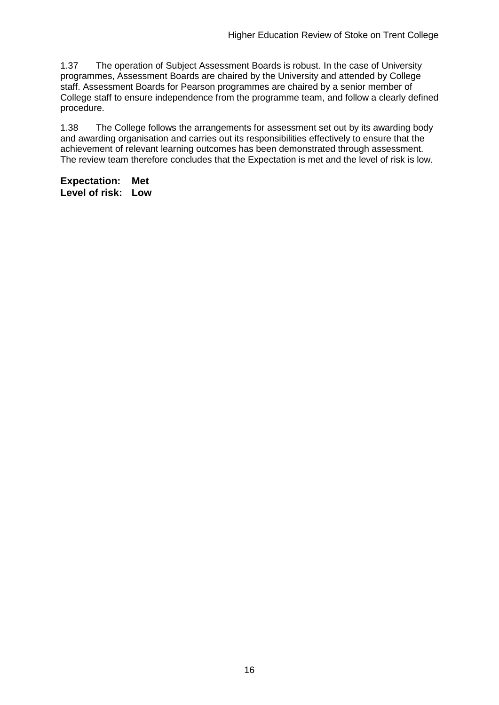1.37 The operation of Subject Assessment Boards is robust. In the case of University programmes, Assessment Boards are chaired by the University and attended by College staff. Assessment Boards for Pearson programmes are chaired by a senior member of College staff to ensure independence from the programme team, and follow a clearly defined procedure.

1.38 The College follows the arrangements for assessment set out by its awarding body and awarding organisation and carries out its responsibilities effectively to ensure that the achievement of relevant learning outcomes has been demonstrated through assessment. The review team therefore concludes that the Expectation is met and the level of risk is low.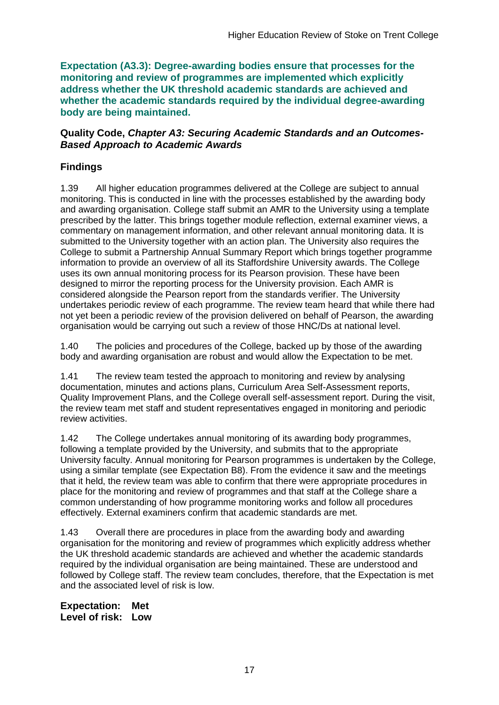**Expectation (A3.3): Degree-awarding bodies ensure that processes for the monitoring and review of programmes are implemented which explicitly address whether the UK threshold academic standards are achieved and whether the academic standards required by the individual degree-awarding body are being maintained.**

#### **Quality Code,** *Chapter A3: Securing Academic Standards and an Outcomes-Based Approach to Academic Awards*

### **Findings**

1.39 All higher education programmes delivered at the College are subject to annual monitoring. This is conducted in line with the processes established by the awarding body and awarding organisation. College staff submit an AMR to the University using a template prescribed by the latter. This brings together module reflection, external examiner views, a commentary on management information, and other relevant annual monitoring data. It is submitted to the University together with an action plan. The University also requires the College to submit a Partnership Annual Summary Report which brings together programme information to provide an overview of all its Staffordshire University awards. The College uses its own annual monitoring process for its Pearson provision. These have been designed to mirror the reporting process for the University provision. Each AMR is considered alongside the Pearson report from the standards verifier. The University undertakes periodic review of each programme. The review team heard that while there had not yet been a periodic review of the provision delivered on behalf of Pearson, the awarding organisation would be carrying out such a review of those HNC/Ds at national level.

1.40 The policies and procedures of the College, backed up by those of the awarding body and awarding organisation are robust and would allow the Expectation to be met.

1.41 The review team tested the approach to monitoring and review by analysing documentation, minutes and actions plans, Curriculum Area Self-Assessment reports, Quality Improvement Plans, and the College overall self-assessment report. During the visit, the review team met staff and student representatives engaged in monitoring and periodic review activities.

1.42 The College undertakes annual monitoring of its awarding body programmes, following a template provided by the University, and submits that to the appropriate University faculty. Annual monitoring for Pearson programmes is undertaken by the College, using a similar template (see Expectation B8). From the evidence it saw and the meetings that it held, the review team was able to confirm that there were appropriate procedures in place for the monitoring and review of programmes and that staff at the College share a common understanding of how programme monitoring works and follow all procedures effectively. External examiners confirm that academic standards are met.

1.43 Overall there are procedures in place from the awarding body and awarding organisation for the monitoring and review of programmes which explicitly address whether the UK threshold academic standards are achieved and whether the academic standards required by the individual organisation are being maintained. These are understood and followed by College staff. The review team concludes, therefore, that the Expectation is met and the associated level of risk is low.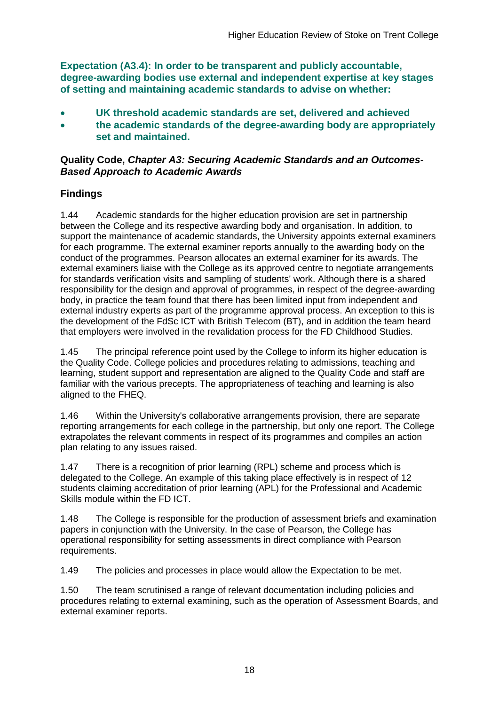**Expectation (A3.4): In order to be transparent and publicly accountable, degree-awarding bodies use external and independent expertise at key stages of setting and maintaining academic standards to advise on whether:**

- **UK threshold academic standards are set, delivered and achieved**
- **the academic standards of the degree-awarding body are appropriately set and maintained.**

### **Quality Code,** *Chapter A3: Securing Academic Standards and an Outcomes-Based Approach to Academic Awards*

### **Findings**

1.44 Academic standards for the higher education provision are set in partnership between the College and its respective awarding body and organisation. In addition, to support the maintenance of academic standards, the University appoints external examiners for each programme. The external examiner reports annually to the awarding body on the conduct of the programmes. Pearson allocates an external examiner for its awards. The external examiners liaise with the College as its approved centre to negotiate arrangements for standards verification visits and sampling of students' work. Although there is a shared responsibility for the design and approval of programmes, in respect of the degree-awarding body, in practice the team found that there has been limited input from independent and external industry experts as part of the programme approval process. An exception to this is the development of the FdSc ICT with British Telecom (BT), and in addition the team heard that employers were involved in the revalidation process for the FD Childhood Studies.

1.45 The principal reference point used by the College to inform its higher education is the Quality Code. College policies and procedures relating to admissions, teaching and learning, student support and representation are aligned to the Quality Code and staff are familiar with the various precepts. The appropriateness of teaching and learning is also aligned to the FHEQ.

1.46 Within the University's collaborative arrangements provision, there are separate reporting arrangements for each college in the partnership, but only one report. The College extrapolates the relevant comments in respect of its programmes and compiles an action plan relating to any issues raised.

1.47 There is a recognition of prior learning (RPL) scheme and process which is delegated to the College. An example of this taking place effectively is in respect of 12 students claiming accreditation of prior learning (APL) for the Professional and Academic Skills module within the FD ICT.

1.48 The College is responsible for the production of assessment briefs and examination papers in conjunction with the University. In the case of Pearson, the College has operational responsibility for setting assessments in direct compliance with Pearson requirements.

1.49 The policies and processes in place would allow the Expectation to be met.

1.50 The team scrutinised a range of relevant documentation including policies and procedures relating to external examining, such as the operation of Assessment Boards, and external examiner reports.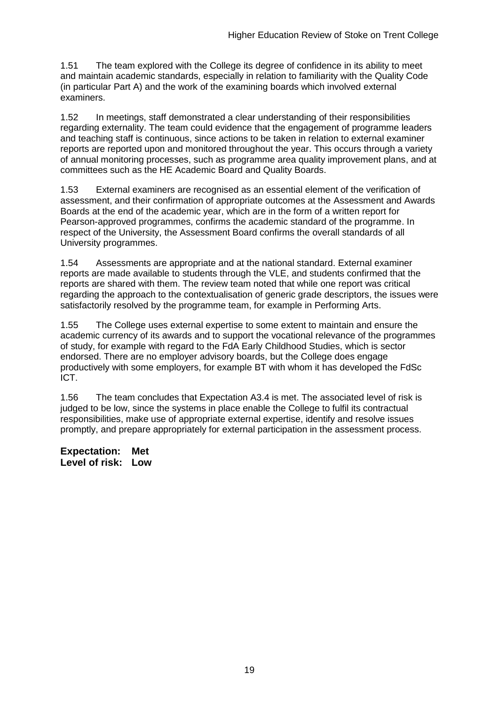1.51 The team explored with the College its degree of confidence in its ability to meet and maintain academic standards, especially in relation to familiarity with the Quality Code (in particular Part A) and the work of the examining boards which involved external examiners.

1.52 In meetings, staff demonstrated a clear understanding of their responsibilities regarding externality. The team could evidence that the engagement of programme leaders and teaching staff is continuous, since actions to be taken in relation to external examiner reports are reported upon and monitored throughout the year. This occurs through a variety of annual monitoring processes, such as programme area quality improvement plans, and at committees such as the HE Academic Board and Quality Boards.

1.53 External examiners are recognised as an essential element of the verification of assessment, and their confirmation of appropriate outcomes at the Assessment and Awards Boards at the end of the academic year, which are in the form of a written report for Pearson-approved programmes, confirms the academic standard of the programme. In respect of the University, the Assessment Board confirms the overall standards of all University programmes.

1.54 Assessments are appropriate and at the national standard. External examiner reports are made available to students through the VLE, and students confirmed that the reports are shared with them. The review team noted that while one report was critical regarding the approach to the contextualisation of generic grade descriptors, the issues were satisfactorily resolved by the programme team, for example in Performing Arts.

1.55 The College uses external expertise to some extent to maintain and ensure the academic currency of its awards and to support the vocational relevance of the programmes of study, for example with regard to the FdA Early Childhood Studies, which is sector endorsed. There are no employer advisory boards, but the College does engage productively with some employers, for example BT with whom it has developed the FdSc ICT.

1.56 The team concludes that Expectation A3.4 is met. The associated level of risk is judged to be low, since the systems in place enable the College to fulfil its contractual responsibilities, make use of appropriate external expertise, identify and resolve issues promptly, and prepare appropriately for external participation in the assessment process.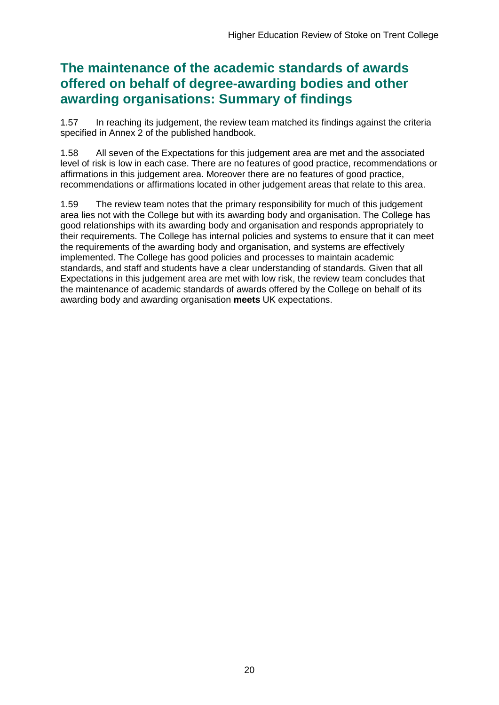# **The maintenance of the academic standards of awards offered on behalf of degree-awarding bodies and other awarding organisations: Summary of findings**

1.57 In reaching its judgement, the review team matched its findings against the criteria specified in Annex 2 of the published handbook.

1.58 All seven of the Expectations for this judgement area are met and the associated level of risk is low in each case. There are no features of good practice, recommendations or affirmations in this judgement area. Moreover there are no features of good practice, recommendations or affirmations located in other judgement areas that relate to this area.

1.59 The review team notes that the primary responsibility for much of this judgement area lies not with the College but with its awarding body and organisation. The College has good relationships with its awarding body and organisation and responds appropriately to their requirements. The College has internal policies and systems to ensure that it can meet the requirements of the awarding body and organisation, and systems are effectively implemented. The College has good policies and processes to maintain academic standards, and staff and students have a clear understanding of standards. Given that all Expectations in this judgement area are met with low risk, the review team concludes that the maintenance of academic standards of awards offered by the College on behalf of its awarding body and awarding organisation **meets** UK expectations.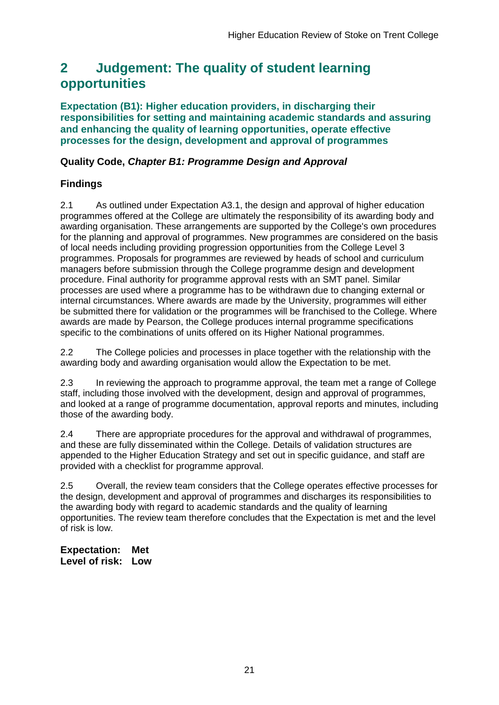# <span id="page-21-0"></span>**2 Judgement: The quality of student learning opportunities**

**Expectation (B1): Higher education providers, in discharging their responsibilities for setting and maintaining academic standards and assuring and enhancing the quality of learning opportunities, operate effective processes for the design, development and approval of programmes**

### **Quality Code,** *Chapter B1: Programme Design and Approval*

### **Findings**

2.1 As outlined under Expectation A3.1, the design and approval of higher education programmes offered at the College are ultimately the responsibility of its awarding body and awarding organisation. These arrangements are supported by the College's own procedures for the planning and approval of programmes. New programmes are considered on the basis of local needs including providing progression opportunities from the College Level 3 programmes. Proposals for programmes are reviewed by heads of school and curriculum managers before submission through the College programme design and development procedure. Final authority for programme approval rests with an SMT panel. Similar processes are used where a programme has to be withdrawn due to changing external or internal circumstances. Where awards are made by the University, programmes will either be submitted there for validation or the programmes will be franchised to the College. Where awards are made by Pearson, the College produces internal programme specifications specific to the combinations of units offered on its Higher National programmes.

2.2 The College policies and processes in place together with the relationship with the awarding body and awarding organisation would allow the Expectation to be met.

2.3 In reviewing the approach to programme approval, the team met a range of College staff, including those involved with the development, design and approval of programmes, and looked at a range of programme documentation, approval reports and minutes, including those of the awarding body.

2.4 There are appropriate procedures for the approval and withdrawal of programmes, and these are fully disseminated within the College. Details of validation structures are appended to the Higher Education Strategy and set out in specific guidance, and staff are provided with a checklist for programme approval.

2.5 Overall, the review team considers that the College operates effective processes for the design, development and approval of programmes and discharges its responsibilities to the awarding body with regard to academic standards and the quality of learning opportunities. The review team therefore concludes that the Expectation is met and the level of risk is low.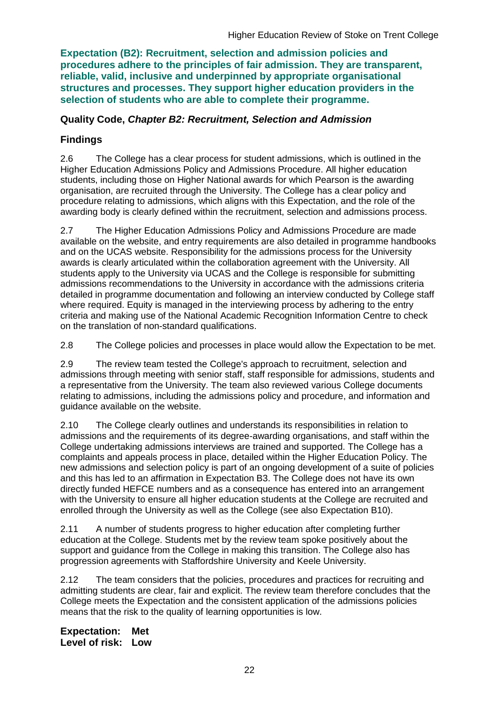**Expectation (B2): Recruitment, selection and admission policies and procedures adhere to the principles of fair admission. They are transparent, reliable, valid, inclusive and underpinned by appropriate organisational structures and processes. They support higher education providers in the selection of students who are able to complete their programme.**

### **Quality Code,** *Chapter B2: Recruitment, Selection and Admission*

### **Findings**

2.6 The College has a clear process for student admissions, which is outlined in the Higher Education Admissions Policy and Admissions Procedure. All higher education students, including those on Higher National awards for which Pearson is the awarding organisation, are recruited through the University. The College has a clear policy and procedure relating to admissions, which aligns with this Expectation, and the role of the awarding body is clearly defined within the recruitment, selection and admissions process.

2.7 The Higher Education Admissions Policy and Admissions Procedure are made available on the website, and entry requirements are also detailed in programme handbooks and on the UCAS website. Responsibility for the admissions process for the University awards is clearly articulated within the collaboration agreement with the University. All students apply to the University via UCAS and the College is responsible for submitting admissions recommendations to the University in accordance with the admissions criteria detailed in programme documentation and following an interview conducted by College staff where required. Equity is managed in the interviewing process by adhering to the entry criteria and making use of the National Academic Recognition Information Centre to check on the translation of non-standard qualifications.

2.8 The College policies and processes in place would allow the Expectation to be met.

2.9 The review team tested the College's approach to recruitment, selection and admissions through meeting with senior staff, staff responsible for admissions, students and a representative from the University. The team also reviewed various College documents relating to admissions, including the admissions policy and procedure, and information and guidance available on the website.

2.10 The College clearly outlines and understands its responsibilities in relation to admissions and the requirements of its degree-awarding organisations, and staff within the College undertaking admissions interviews are trained and supported. The College has a complaints and appeals process in place, detailed within the Higher Education Policy. The new admissions and selection policy is part of an ongoing development of a suite of policies and this has led to an affirmation in Expectation B3. The College does not have its own directly funded HEFCE numbers and as a consequence has entered into an arrangement with the University to ensure all higher education students at the College are recruited and enrolled through the University as well as the College (see also Expectation B10).

2.11 A number of students progress to higher education after completing further education at the College. Students met by the review team spoke positively about the support and guidance from the College in making this transition. The College also has progression agreements with Staffordshire University and Keele University.

2.12 The team considers that the policies, procedures and practices for recruiting and admitting students are clear, fair and explicit. The review team therefore concludes that the College meets the Expectation and the consistent application of the admissions policies means that the risk to the quality of learning opportunities is low.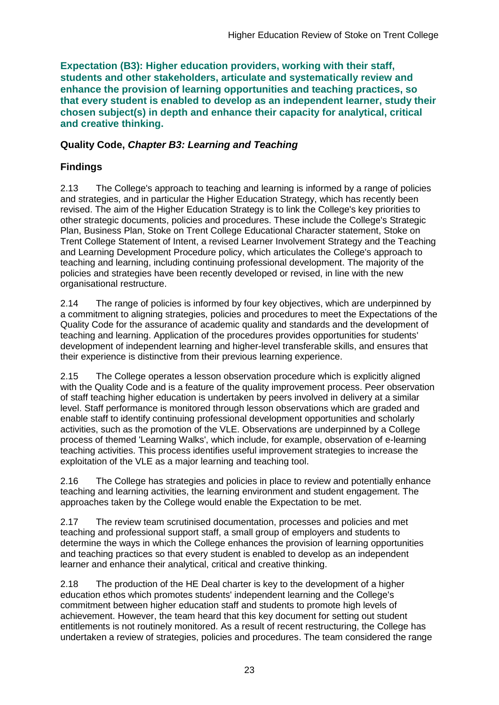**Expectation (B3): Higher education providers, working with their staff, students and other stakeholders, articulate and systematically review and enhance the provision of learning opportunities and teaching practices, so that every student is enabled to develop as an independent learner, study their chosen subject(s) in depth and enhance their capacity for analytical, critical and creative thinking.**

### **Quality Code,** *Chapter B3: Learning and Teaching*

### **Findings**

2.13 The College's approach to teaching and learning is informed by a range of policies and strategies, and in particular the Higher Education Strategy, which has recently been revised. The aim of the Higher Education Strategy is to link the College's key priorities to other strategic documents, policies and procedures. These include the College's Strategic Plan, Business Plan, Stoke on Trent College Educational Character statement, Stoke on Trent College Statement of Intent, a revised Learner Involvement Strategy and the Teaching and Learning Development Procedure policy, which articulates the College's approach to teaching and learning, including continuing professional development. The majority of the policies and strategies have been recently developed or revised, in line with the new organisational restructure.

2.14 The range of policies is informed by four key objectives, which are underpinned by a commitment to aligning strategies, policies and procedures to meet the Expectations of the Quality Code for the assurance of academic quality and standards and the development of teaching and learning. Application of the procedures provides opportunities for students' development of independent learning and higher-level transferable skills, and ensures that their experience is distinctive from their previous learning experience.

2.15 The College operates a lesson observation procedure which is explicitly aligned with the Quality Code and is a feature of the quality improvement process. Peer observation of staff teaching higher education is undertaken by peers involved in delivery at a similar level. Staff performance is monitored through lesson observations which are graded and enable staff to identify continuing professional development opportunities and scholarly activities, such as the promotion of the VLE. Observations are underpinned by a College process of themed 'Learning Walks', which include, for example, observation of e-learning teaching activities. This process identifies useful improvement strategies to increase the exploitation of the VLE as a major learning and teaching tool.

2.16 The College has strategies and policies in place to review and potentially enhance teaching and learning activities, the learning environment and student engagement. The approaches taken by the College would enable the Expectation to be met.

2.17 The review team scrutinised documentation, processes and policies and met teaching and professional support staff, a small group of employers and students to determine the ways in which the College enhances the provision of learning opportunities and teaching practices so that every student is enabled to develop as an independent learner and enhance their analytical, critical and creative thinking.

2.18 The production of the HE Deal charter is key to the development of a higher education ethos which promotes students' independent learning and the College's commitment between higher education staff and students to promote high levels of achievement. However, the team heard that this key document for setting out student entitlements is not routinely monitored. As a result of recent restructuring, the College has undertaken a review of strategies, policies and procedures. The team considered the range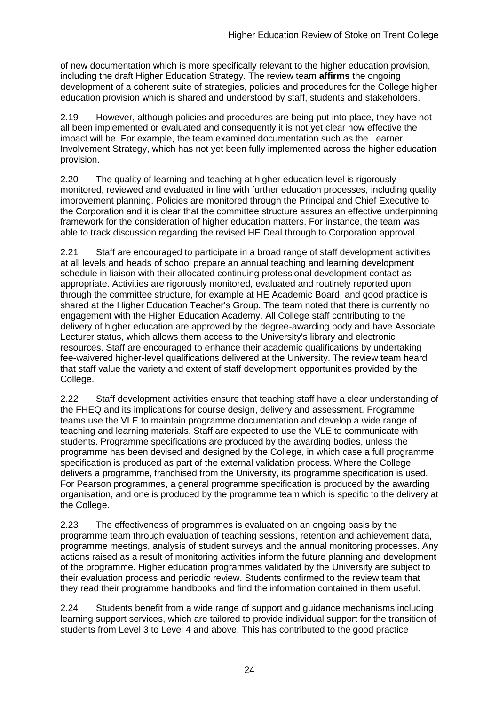of new documentation which is more specifically relevant to the higher education provision, including the draft Higher Education Strategy. The review team **affirms** the ongoing development of a coherent suite of strategies, policies and procedures for the College higher education provision which is shared and understood by staff, students and stakeholders.

2.19 However, although policies and procedures are being put into place, they have not all been implemented or evaluated and consequently it is not yet clear how effective the impact will be. For example, the team examined documentation such as the Learner Involvement Strategy, which has not yet been fully implemented across the higher education provision.

2.20 The quality of learning and teaching at higher education level is rigorously monitored, reviewed and evaluated in line with further education processes, including quality improvement planning. Policies are monitored through the Principal and Chief Executive to the Corporation and it is clear that the committee structure assures an effective underpinning framework for the consideration of higher education matters. For instance, the team was able to track discussion regarding the revised HE Deal through to Corporation approval.

2.21 Staff are encouraged to participate in a broad range of staff development activities at all levels and heads of school prepare an annual teaching and learning development schedule in liaison with their allocated continuing professional development contact as appropriate. Activities are rigorously monitored, evaluated and routinely reported upon through the committee structure, for example at HE Academic Board, and good practice is shared at the Higher Education Teacher's Group. The team noted that there is currently no engagement with the Higher Education Academy. All College staff contributing to the delivery of higher education are approved by the degree-awarding body and have Associate Lecturer status, which allows them access to the University's library and electronic resources. Staff are encouraged to enhance their academic qualifications by undertaking fee-waivered higher-level qualifications delivered at the University. The review team heard that staff value the variety and extent of staff development opportunities provided by the College.

2.22 Staff development activities ensure that teaching staff have a clear understanding of the FHEQ and its implications for course design, delivery and assessment. Programme teams use the VLE to maintain programme documentation and develop a wide range of teaching and learning materials. Staff are expected to use the VLE to communicate with students. Programme specifications are produced by the awarding bodies, unless the programme has been devised and designed by the College, in which case a full programme specification is produced as part of the external validation process. Where the College delivers a programme, franchised from the University, its programme specification is used. For Pearson programmes, a general programme specification is produced by the awarding organisation, and one is produced by the programme team which is specific to the delivery at the College.

2.23 The effectiveness of programmes is evaluated on an ongoing basis by the programme team through evaluation of teaching sessions, retention and achievement data, programme meetings, analysis of student surveys and the annual monitoring processes. Any actions raised as a result of monitoring activities inform the future planning and development of the programme. Higher education programmes validated by the University are subject to their evaluation process and periodic review. Students confirmed to the review team that they read their programme handbooks and find the information contained in them useful.

2.24 Students benefit from a wide range of support and guidance mechanisms including learning support services, which are tailored to provide individual support for the transition of students from Level 3 to Level 4 and above. This has contributed to the good practice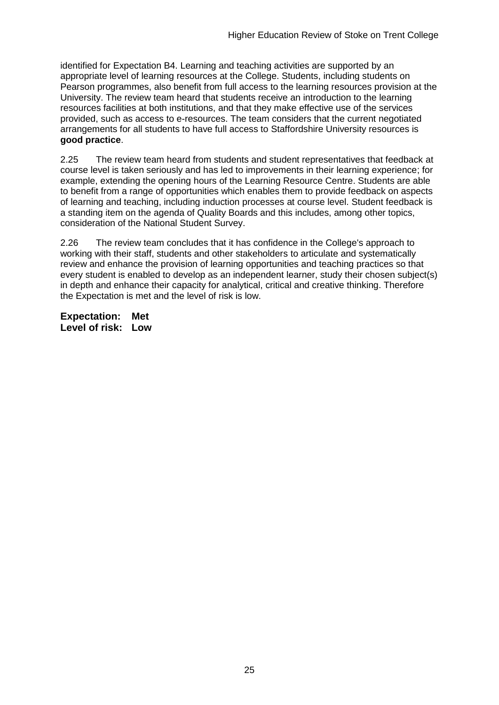identified for Expectation B4. Learning and teaching activities are supported by an appropriate level of learning resources at the College. Students, including students on Pearson programmes, also benefit from full access to the learning resources provision at the University. The review team heard that students receive an introduction to the learning resources facilities at both institutions, and that they make effective use of the services provided, such as access to e-resources. The team considers that the current negotiated arrangements for all students to have full access to Staffordshire University resources is **good practice**.

2.25 The review team heard from students and student representatives that feedback at course level is taken seriously and has led to improvements in their learning experience; for example, extending the opening hours of the Learning Resource Centre. Students are able to benefit from a range of opportunities which enables them to provide feedback on aspects of learning and teaching, including induction processes at course level. Student feedback is a standing item on the agenda of Quality Boards and this includes, among other topics, consideration of the National Student Survey.

2.26 The review team concludes that it has confidence in the College's approach to working with their staff, students and other stakeholders to articulate and systematically review and enhance the provision of learning opportunities and teaching practices so that every student is enabled to develop as an independent learner, study their chosen subject(s) in depth and enhance their capacity for analytical, critical and creative thinking. Therefore the Expectation is met and the level of risk is low.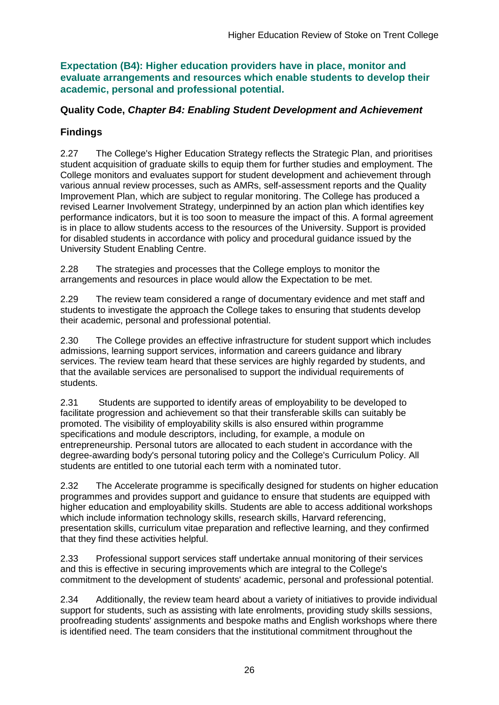**Expectation (B4): Higher education providers have in place, monitor and evaluate arrangements and resources which enable students to develop their academic, personal and professional potential.**

### **Quality Code,** *Chapter B4: Enabling Student Development and Achievement*

### **Findings**

2.27 The College's Higher Education Strategy reflects the Strategic Plan, and prioritises student acquisition of graduate skills to equip them for further studies and employment. The College monitors and evaluates support for student development and achievement through various annual review processes, such as AMRs, self-assessment reports and the Quality Improvement Plan, which are subject to regular monitoring. The College has produced a revised Learner Involvement Strategy, underpinned by an action plan which identifies key performance indicators, but it is too soon to measure the impact of this. A formal agreement is in place to allow students access to the resources of the University. Support is provided for disabled students in accordance with policy and procedural guidance issued by the University Student Enabling Centre.

2.28 The strategies and processes that the College employs to monitor the arrangements and resources in place would allow the Expectation to be met.

2.29 The review team considered a range of documentary evidence and met staff and students to investigate the approach the College takes to ensuring that students develop their academic, personal and professional potential.

2.30 The College provides an effective infrastructure for student support which includes admissions, learning support services, information and careers guidance and library services. The review team heard that these services are highly regarded by students, and that the available services are personalised to support the individual requirements of students.

2.31 Students are supported to identify areas of employability to be developed to facilitate progression and achievement so that their transferable skills can suitably be promoted. The visibility of employability skills is also ensured within programme specifications and module descriptors, including, for example, a module on entrepreneurship. Personal tutors are allocated to each student in accordance with the degree-awarding body's personal tutoring policy and the College's Curriculum Policy. All students are entitled to one tutorial each term with a nominated tutor.

2.32 The Accelerate programme is specifically designed for students on higher education programmes and provides support and guidance to ensure that students are equipped with higher education and employability skills. Students are able to access additional workshops which include information technology skills, research skills, Harvard referencing, presentation skills, curriculum vitae preparation and reflective learning, and they confirmed that they find these activities helpful.

2.33 Professional support services staff undertake annual monitoring of their services and this is effective in securing improvements which are integral to the College's commitment to the development of students' academic, personal and professional potential.

2.34 Additionally, the review team heard about a variety of initiatives to provide individual support for students, such as assisting with late enrolments, providing study skills sessions, proofreading students' assignments and bespoke maths and English workshops where there is identified need. The team considers that the institutional commitment throughout the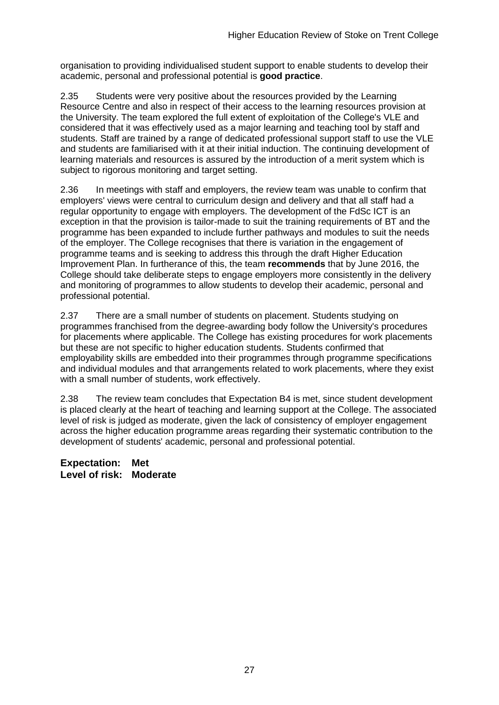organisation to providing individualised student support to enable students to develop their academic, personal and professional potential is **good practice**.

2.35 Students were very positive about the resources provided by the Learning Resource Centre and also in respect of their access to the learning resources provision at the University. The team explored the full extent of exploitation of the College's VLE and considered that it was effectively used as a major learning and teaching tool by staff and students. Staff are trained by a range of dedicated professional support staff to use the VLE and students are familiarised with it at their initial induction. The continuing development of learning materials and resources is assured by the introduction of a merit system which is subject to rigorous monitoring and target setting.

2.36 In meetings with staff and employers, the review team was unable to confirm that employers' views were central to curriculum design and delivery and that all staff had a regular opportunity to engage with employers. The development of the FdSc ICT is an exception in that the provision is tailor-made to suit the training requirements of BT and the programme has been expanded to include further pathways and modules to suit the needs of the employer. The College recognises that there is variation in the engagement of programme teams and is seeking to address this through the draft Higher Education Improvement Plan. In furtherance of this, the team **recommends** that by June 2016, the College should take deliberate steps to engage employers more consistently in the delivery and monitoring of programmes to allow students to develop their academic, personal and professional potential.

2.37 There are a small number of students on placement. Students studying on programmes franchised from the degree-awarding body follow the University's procedures for placements where applicable. The College has existing procedures for work placements but these are not specific to higher education students. Students confirmed that employability skills are embedded into their programmes through programme specifications and individual modules and that arrangements related to work placements, where they exist with a small number of students, work effectively.

2.38 The review team concludes that Expectation B4 is met, since student development is placed clearly at the heart of teaching and learning support at the College. The associated level of risk is judged as moderate, given the lack of consistency of employer engagement across the higher education programme areas regarding their systematic contribution to the development of students' academic, personal and professional potential.

**Expectation: Met Level of risk: Moderate**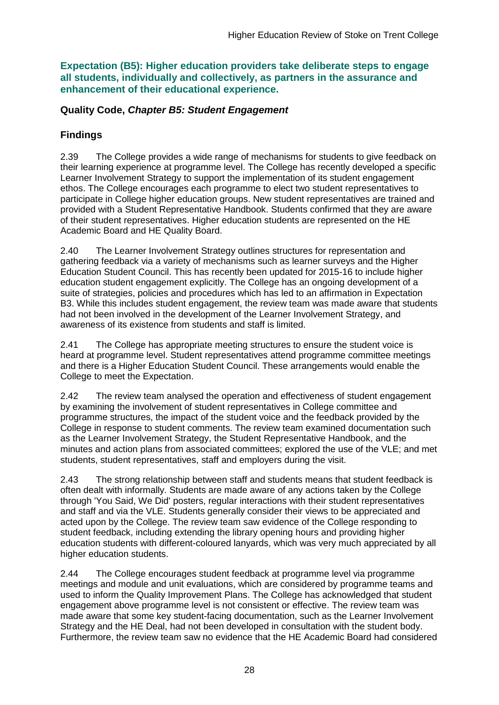**Expectation (B5): Higher education providers take deliberate steps to engage all students, individually and collectively, as partners in the assurance and enhancement of their educational experience.**

### **Quality Code,** *Chapter B5: Student Engagement*

### **Findings**

2.39 The College provides a wide range of mechanisms for students to give feedback on their learning experience at programme level. The College has recently developed a specific Learner Involvement Strategy to support the implementation of its student engagement ethos. The College encourages each programme to elect two student representatives to participate in College higher education groups. New student representatives are trained and provided with a Student Representative Handbook. Students confirmed that they are aware of their student representatives. Higher education students are represented on the HE Academic Board and HE Quality Board.

2.40 The Learner Involvement Strategy outlines structures for representation and gathering feedback via a variety of mechanisms such as learner surveys and the Higher Education Student Council. This has recently been updated for 2015-16 to include higher education student engagement explicitly. The College has an ongoing development of a suite of strategies, policies and procedures which has led to an affirmation in Expectation B3. While this includes student engagement, the review team was made aware that students had not been involved in the development of the Learner Involvement Strategy, and awareness of its existence from students and staff is limited.

2.41 The College has appropriate meeting structures to ensure the student voice is heard at programme level. Student representatives attend programme committee meetings and there is a Higher Education Student Council. These arrangements would enable the College to meet the Expectation.

2.42 The review team analysed the operation and effectiveness of student engagement by examining the involvement of student representatives in College committee and programme structures, the impact of the student voice and the feedback provided by the College in response to student comments. The review team examined documentation such as the Learner Involvement Strategy, the Student Representative Handbook, and the minutes and action plans from associated committees; explored the use of the VLE; and met students, student representatives, staff and employers during the visit.

2.43 The strong relationship between staff and students means that student feedback is often dealt with informally. Students are made aware of any actions taken by the College through 'You Said, We Did' posters, regular interactions with their student representatives and staff and via the VLE. Students generally consider their views to be appreciated and acted upon by the College. The review team saw evidence of the College responding to student feedback, including extending the library opening hours and providing higher education students with different-coloured lanyards, which was very much appreciated by all higher education students.

2.44 The College encourages student feedback at programme level via programme meetings and module and unit evaluations, which are considered by programme teams and used to inform the Quality Improvement Plans. The College has acknowledged that student engagement above programme level is not consistent or effective. The review team was made aware that some key student-facing documentation, such as the Learner Involvement Strategy and the HE Deal, had not been developed in consultation with the student body. Furthermore, the review team saw no evidence that the HE Academic Board had considered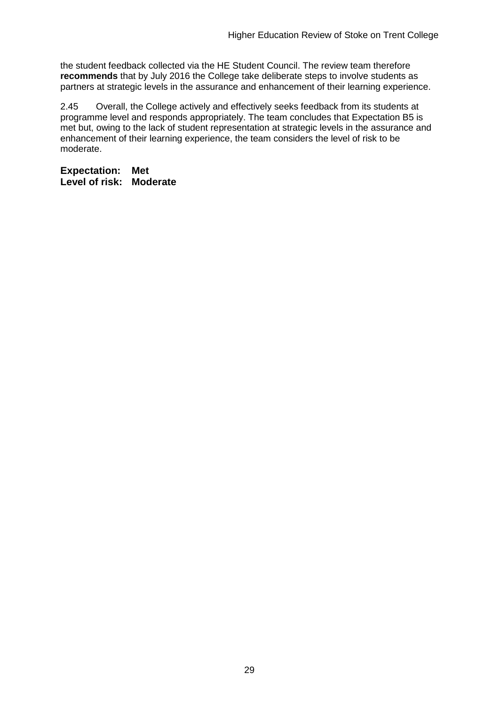the student feedback collected via the HE Student Council. The review team therefore **recommends** that by July 2016 the College take deliberate steps to involve students as partners at strategic levels in the assurance and enhancement of their learning experience.

2.45 Overall, the College actively and effectively seeks feedback from its students at programme level and responds appropriately. The team concludes that Expectation B5 is met but, owing to the lack of student representation at strategic levels in the assurance and enhancement of their learning experience, the team considers the level of risk to be moderate.

**Expectation: Met Level of risk: Moderate**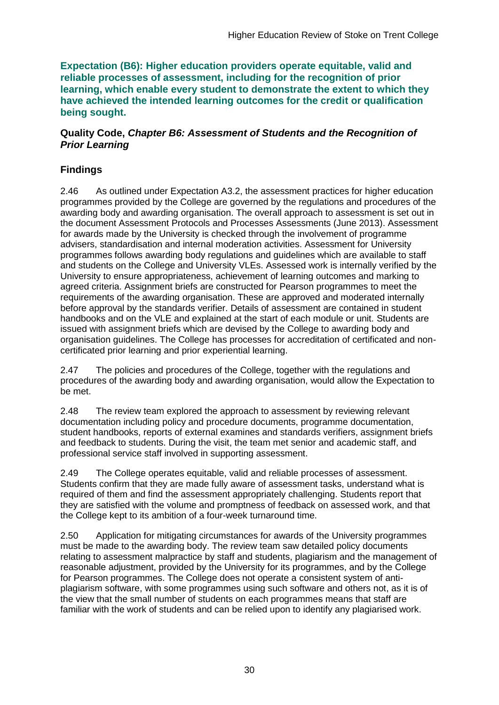**Expectation (B6): Higher education providers operate equitable, valid and reliable processes of assessment, including for the recognition of prior learning, which enable every student to demonstrate the extent to which they have achieved the intended learning outcomes for the credit or qualification being sought.**

#### **Quality Code,** *Chapter B6: Assessment of Students and the Recognition of Prior Learning*

### **Findings**

2.46 As outlined under Expectation A3.2, the assessment practices for higher education programmes provided by the College are governed by the regulations and procedures of the awarding body and awarding organisation. The overall approach to assessment is set out in the document Assessment Protocols and Processes Assessments (June 2013). Assessment for awards made by the University is checked through the involvement of programme advisers, standardisation and internal moderation activities. Assessment for University programmes follows awarding body regulations and guidelines which are available to staff and students on the College and University VLEs. Assessed work is internally verified by the University to ensure appropriateness, achievement of learning outcomes and marking to agreed criteria. Assignment briefs are constructed for Pearson programmes to meet the requirements of the awarding organisation. These are approved and moderated internally before approval by the standards verifier. Details of assessment are contained in student handbooks and on the VLE and explained at the start of each module or unit. Students are issued with assignment briefs which are devised by the College to awarding body and organisation guidelines. The College has processes for accreditation of certificated and noncertificated prior learning and prior experiential learning.

2.47 The policies and procedures of the College, together with the regulations and procedures of the awarding body and awarding organisation, would allow the Expectation to be met.

2.48 The review team explored the approach to assessment by reviewing relevant documentation including policy and procedure documents, programme documentation, student handbooks, reports of external examines and standards verifiers, assignment briefs and feedback to students. During the visit, the team met senior and academic staff, and professional service staff involved in supporting assessment.

2.49 The College operates equitable, valid and reliable processes of assessment. Students confirm that they are made fully aware of assessment tasks, understand what is required of them and find the assessment appropriately challenging. Students report that they are satisfied with the volume and promptness of feedback on assessed work, and that the College kept to its ambition of a four-week turnaround time.

2.50 Application for mitigating circumstances for awards of the University programmes must be made to the awarding body. The review team saw detailed policy documents relating to assessment malpractice by staff and students, plagiarism and the management of reasonable adjustment, provided by the University for its programmes, and by the College for Pearson programmes. The College does not operate a consistent system of antiplagiarism software, with some programmes using such software and others not, as it is of the view that the small number of students on each programmes means that staff are familiar with the work of students and can be relied upon to identify any plagiarised work.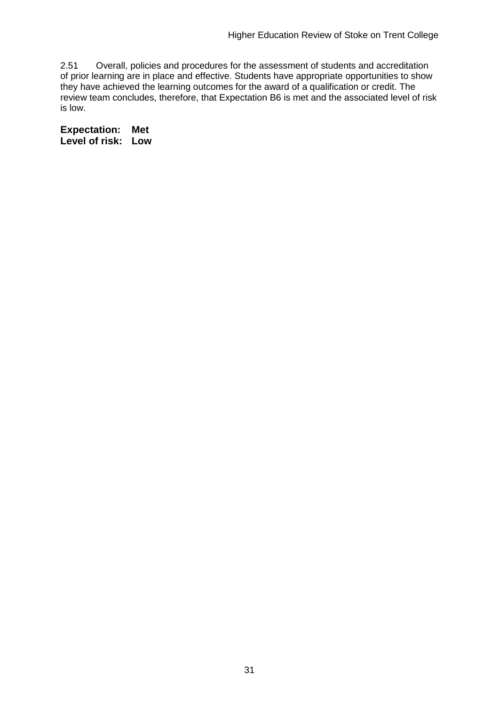2.51 Overall, policies and procedures for the assessment of students and accreditation of prior learning are in place and effective. Students have appropriate opportunities to show they have achieved the learning outcomes for the award of a qualification or credit. The review team concludes, therefore, that Expectation B6 is met and the associated level of risk is low.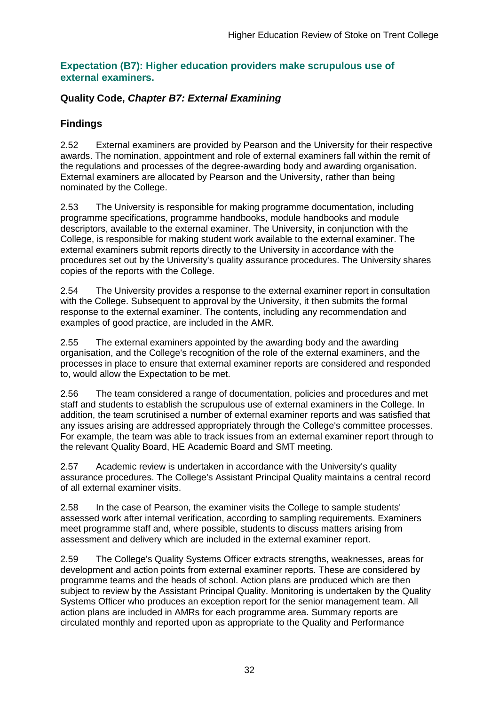### **Expectation (B7): Higher education providers make scrupulous use of external examiners.**

### **Quality Code,** *Chapter B7: External Examining*

### **Findings**

2.52 External examiners are provided by Pearson and the University for their respective awards. The nomination, appointment and role of external examiners fall within the remit of the regulations and processes of the degree-awarding body and awarding organisation. External examiners are allocated by Pearson and the University, rather than being nominated by the College.

2.53 The University is responsible for making programme documentation, including programme specifications, programme handbooks, module handbooks and module descriptors, available to the external examiner. The University, in conjunction with the College, is responsible for making student work available to the external examiner. The external examiners submit reports directly to the University in accordance with the procedures set out by the University's quality assurance procedures. The University shares copies of the reports with the College.

2.54 The University provides a response to the external examiner report in consultation with the College. Subsequent to approval by the University, it then submits the formal response to the external examiner. The contents, including any recommendation and examples of good practice, are included in the AMR.

2.55 The external examiners appointed by the awarding body and the awarding organisation, and the College's recognition of the role of the external examiners, and the processes in place to ensure that external examiner reports are considered and responded to, would allow the Expectation to be met.

2.56 The team considered a range of documentation, policies and procedures and met staff and students to establish the scrupulous use of external examiners in the College. In addition, the team scrutinised a number of external examiner reports and was satisfied that any issues arising are addressed appropriately through the College's committee processes. For example, the team was able to track issues from an external examiner report through to the relevant Quality Board, HE Academic Board and SMT meeting.

2.57 Academic review is undertaken in accordance with the University's quality assurance procedures. The College's Assistant Principal Quality maintains a central record of all external examiner visits.

2.58 In the case of Pearson, the examiner visits the College to sample students' assessed work after internal verification, according to sampling requirements. Examiners meet programme staff and, where possible, students to discuss matters arising from assessment and delivery which are included in the external examiner report.

2.59 The College's Quality Systems Officer extracts strengths, weaknesses, areas for development and action points from external examiner reports. These are considered by programme teams and the heads of school. Action plans are produced which are then subject to review by the Assistant Principal Quality. Monitoring is undertaken by the Quality Systems Officer who produces an exception report for the senior management team. All action plans are included in AMRs for each programme area. Summary reports are circulated monthly and reported upon as appropriate to the Quality and Performance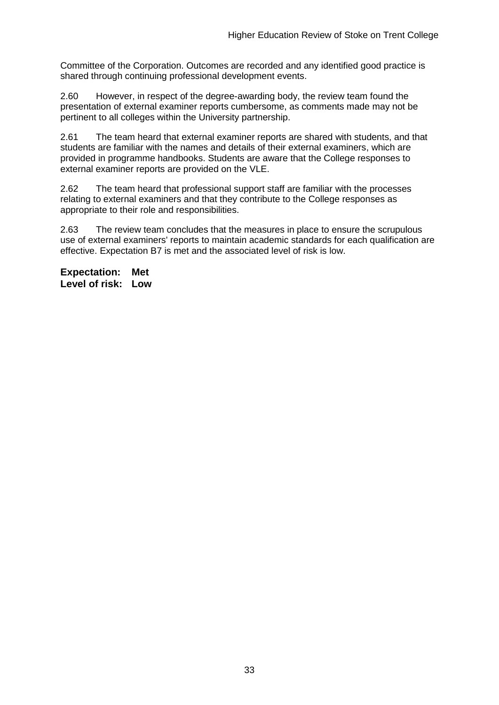Committee of the Corporation. Outcomes are recorded and any identified good practice is shared through continuing professional development events.

2.60 However, in respect of the degree-awarding body, the review team found the presentation of external examiner reports cumbersome, as comments made may not be pertinent to all colleges within the University partnership.

2.61 The team heard that external examiner reports are shared with students, and that students are familiar with the names and details of their external examiners, which are provided in programme handbooks. Students are aware that the College responses to external examiner reports are provided on the VLE.

2.62 The team heard that professional support staff are familiar with the processes relating to external examiners and that they contribute to the College responses as appropriate to their role and responsibilities.

2.63 The review team concludes that the measures in place to ensure the scrupulous use of external examiners' reports to maintain academic standards for each qualification are effective. Expectation B7 is met and the associated level of risk is low.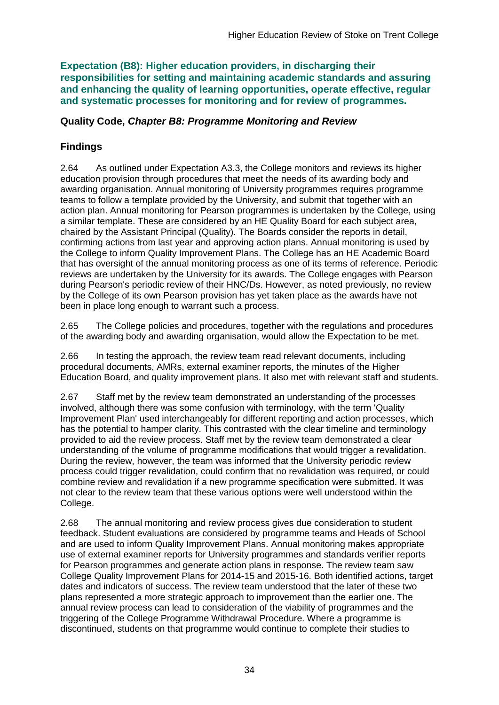**Expectation (B8): Higher education providers, in discharging their responsibilities for setting and maintaining academic standards and assuring and enhancing the quality of learning opportunities, operate effective, regular and systematic processes for monitoring and for review of programmes.**

### **Quality Code,** *Chapter B8: Programme Monitoring and Review*

### **Findings**

2.64 As outlined under Expectation A3.3, the College monitors and reviews its higher education provision through procedures that meet the needs of its awarding body and awarding organisation. Annual monitoring of University programmes requires programme teams to follow a template provided by the University, and submit that together with an action plan. Annual monitoring for Pearson programmes is undertaken by the College, using a similar template. These are considered by an HE Quality Board for each subject area, chaired by the Assistant Principal (Quality). The Boards consider the reports in detail, confirming actions from last year and approving action plans. Annual monitoring is used by the College to inform Quality Improvement Plans. The College has an HE Academic Board that has oversight of the annual monitoring process as one of its terms of reference. Periodic reviews are undertaken by the University for its awards. The College engages with Pearson during Pearson's periodic review of their HNC/Ds. However, as noted previously, no review by the College of its own Pearson provision has yet taken place as the awards have not been in place long enough to warrant such a process.

2.65 The College policies and procedures, together with the regulations and procedures of the awarding body and awarding organisation, would allow the Expectation to be met.

2.66 In testing the approach, the review team read relevant documents, including procedural documents, AMRs, external examiner reports, the minutes of the Higher Education Board, and quality improvement plans. It also met with relevant staff and students.

2.67 Staff met by the review team demonstrated an understanding of the processes involved, although there was some confusion with terminology, with the term 'Quality Improvement Plan' used interchangeably for different reporting and action processes, which has the potential to hamper clarity. This contrasted with the clear timeline and terminology provided to aid the review process. Staff met by the review team demonstrated a clear understanding of the volume of programme modifications that would trigger a revalidation. During the review, however, the team was informed that the University periodic review process could trigger revalidation, could confirm that no revalidation was required, or could combine review and revalidation if a new programme specification were submitted. It was not clear to the review team that these various options were well understood within the College.

2.68 The annual monitoring and review process gives due consideration to student feedback. Student evaluations are considered by programme teams and Heads of School and are used to inform Quality Improvement Plans. Annual monitoring makes appropriate use of external examiner reports for University programmes and standards verifier reports for Pearson programmes and generate action plans in response. The review team saw College Quality Improvement Plans for 2014-15 and 2015-16. Both identified actions, target dates and indicators of success. The review team understood that the later of these two plans represented a more strategic approach to improvement than the earlier one. The annual review process can lead to consideration of the viability of programmes and the triggering of the College Programme Withdrawal Procedure. Where a programme is discontinued, students on that programme would continue to complete their studies to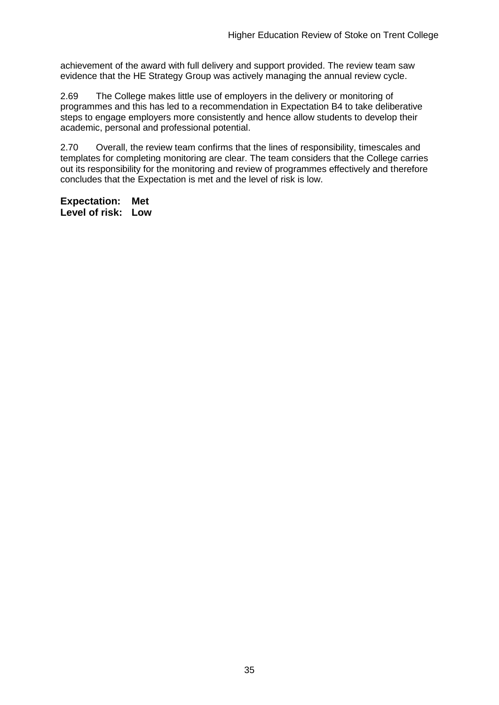achievement of the award with full delivery and support provided. The review team saw evidence that the HE Strategy Group was actively managing the annual review cycle.

2.69 The College makes little use of employers in the delivery or monitoring of programmes and this has led to a recommendation in Expectation B4 to take deliberative steps to engage employers more consistently and hence allow students to develop their academic, personal and professional potential.

2.70 Overall, the review team confirms that the lines of responsibility, timescales and templates for completing monitoring are clear. The team considers that the College carries out its responsibility for the monitoring and review of programmes effectively and therefore concludes that the Expectation is met and the level of risk is low.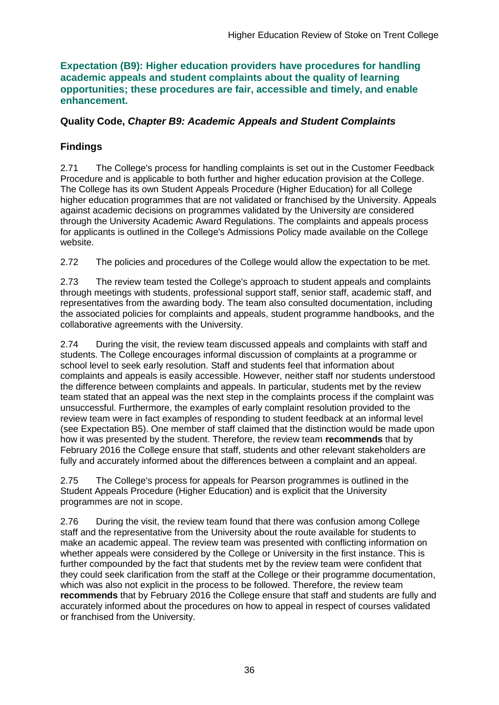**Expectation (B9): Higher education providers have procedures for handling academic appeals and student complaints about the quality of learning opportunities; these procedures are fair, accessible and timely, and enable enhancement.** 

### **Quality Code,** *Chapter B9: Academic Appeals and Student Complaints*

### **Findings**

2.71 The College's process for handling complaints is set out in the Customer Feedback Procedure and is applicable to both further and higher education provision at the College. The College has its own Student Appeals Procedure (Higher Education) for all College higher education programmes that are not validated or franchised by the University. Appeals against academic decisions on programmes validated by the University are considered through the University Academic Award Regulations. The complaints and appeals process for applicants is outlined in the College's Admissions Policy made available on the College website.

2.72 The policies and procedures of the College would allow the expectation to be met.

2.73 The review team tested the College's approach to student appeals and complaints through meetings with students, professional support staff, senior staff, academic staff, and representatives from the awarding body. The team also consulted documentation, including the associated policies for complaints and appeals, student programme handbooks, and the collaborative agreements with the University.

2.74 During the visit, the review team discussed appeals and complaints with staff and students. The College encourages informal discussion of complaints at a programme or school level to seek early resolution. Staff and students feel that information about complaints and appeals is easily accessible. However, neither staff nor students understood the difference between complaints and appeals. In particular, students met by the review team stated that an appeal was the next step in the complaints process if the complaint was unsuccessful. Furthermore, the examples of early complaint resolution provided to the review team were in fact examples of responding to student feedback at an informal level (see Expectation B5). One member of staff claimed that the distinction would be made upon how it was presented by the student. Therefore, the review team **recommends** that by February 2016 the College ensure that staff, students and other relevant stakeholders are fully and accurately informed about the differences between a complaint and an appeal.

2.75 The College's process for appeals for Pearson programmes is outlined in the Student Appeals Procedure (Higher Education) and is explicit that the University programmes are not in scope.

2.76 During the visit, the review team found that there was confusion among College staff and the representative from the University about the route available for students to make an academic appeal. The review team was presented with conflicting information on whether appeals were considered by the College or University in the first instance. This is further compounded by the fact that students met by the review team were confident that they could seek clarification from the staff at the College or their programme documentation, which was also not explicit in the process to be followed. Therefore, the review team **recommends** that by February 2016 the College ensure that staff and students are fully and accurately informed about the procedures on how to appeal in respect of courses validated or franchised from the University.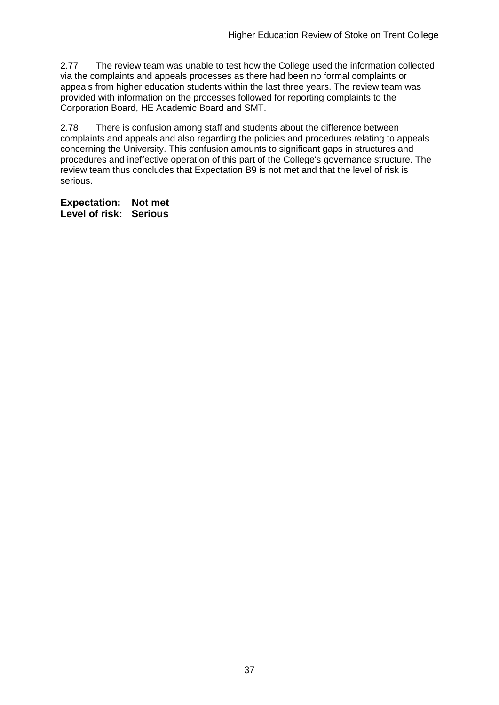2.77 The review team was unable to test how the College used the information collected via the complaints and appeals processes as there had been no formal complaints or appeals from higher education students within the last three years. The review team was provided with information on the processes followed for reporting complaints to the Corporation Board, HE Academic Board and SMT.

2.78 There is confusion among staff and students about the difference between complaints and appeals and also regarding the policies and procedures relating to appeals concerning the University. This confusion amounts to significant gaps in structures and procedures and ineffective operation of this part of the College's governance structure. The review team thus concludes that Expectation B9 is not met and that the level of risk is serious.

**Expectation: Not met Level of risk: Serious**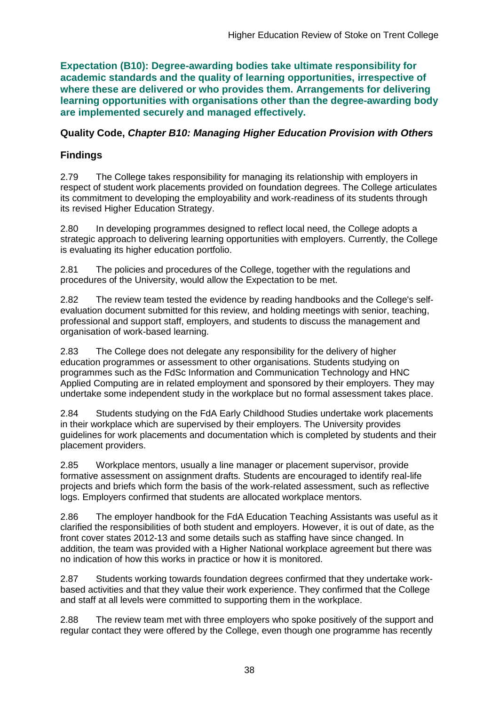**Expectation (B10): Degree-awarding bodies take ultimate responsibility for academic standards and the quality of learning opportunities, irrespective of where these are delivered or who provides them. Arrangements for delivering learning opportunities with organisations other than the degree-awarding body are implemented securely and managed effectively.**

### **Quality Code,** *Chapter B10: Managing Higher Education Provision with Others*

### **Findings**

2.79 The College takes responsibility for managing its relationship with employers in respect of student work placements provided on foundation degrees. The College articulates its commitment to developing the employability and work-readiness of its students through its revised Higher Education Strategy.

2.80 In developing programmes designed to reflect local need, the College adopts a strategic approach to delivering learning opportunities with employers. Currently, the College is evaluating its higher education portfolio.

2.81 The policies and procedures of the College, together with the regulations and procedures of the University, would allow the Expectation to be met.

2.82 The review team tested the evidence by reading handbooks and the College's selfevaluation document submitted for this review, and holding meetings with senior, teaching, professional and support staff, employers, and students to discuss the management and organisation of work-based learning.

2.83 The College does not delegate any responsibility for the delivery of higher education programmes or assessment to other organisations. Students studying on programmes such as the FdSc Information and Communication Technology and HNC Applied Computing are in related employment and sponsored by their employers. They may undertake some independent study in the workplace but no formal assessment takes place.

2.84 Students studying on the FdA Early Childhood Studies undertake work placements in their workplace which are supervised by their employers. The University provides guidelines for work placements and documentation which is completed by students and their placement providers.

2.85 Workplace mentors, usually a line manager or placement supervisor, provide formative assessment on assignment drafts. Students are encouraged to identify real-life projects and briefs which form the basis of the work-related assessment, such as reflective logs. Employers confirmed that students are allocated workplace mentors.

2.86 The employer handbook for the FdA Education Teaching Assistants was useful as it clarified the responsibilities of both student and employers. However, it is out of date, as the front cover states 2012-13 and some details such as staffing have since changed. In addition, the team was provided with a Higher National workplace agreement but there was no indication of how this works in practice or how it is monitored.

2.87 Students working towards foundation degrees confirmed that they undertake workbased activities and that they value their work experience. They confirmed that the College and staff at all levels were committed to supporting them in the workplace.

2.88 The review team met with three employers who spoke positively of the support and regular contact they were offered by the College, even though one programme has recently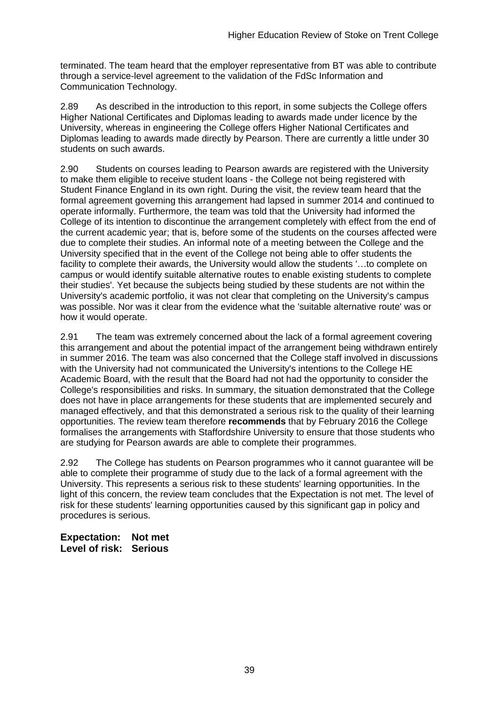terminated. The team heard that the employer representative from BT was able to contribute through a service-level agreement to the validation of the FdSc Information and Communication Technology.

2.89 As described in the introduction to this report, in some subjects the College offers Higher National Certificates and Diplomas leading to awards made under licence by the University, whereas in engineering the College offers Higher National Certificates and Diplomas leading to awards made directly by Pearson. There are currently a little under 30 students on such awards.

2.90 Students on courses leading to Pearson awards are registered with the University to make them eligible to receive student loans - the College not being registered with Student Finance England in its own right. During the visit, the review team heard that the formal agreement governing this arrangement had lapsed in summer 2014 and continued to operate informally. Furthermore, the team was told that the University had informed the College of its intention to discontinue the arrangement completely with effect from the end of the current academic year; that is, before some of the students on the courses affected were due to complete their studies. An informal note of a meeting between the College and the University specified that in the event of the College not being able to offer students the facility to complete their awards, the University would allow the students '…to complete on campus or would identify suitable alternative routes to enable existing students to complete their studies'. Yet because the subjects being studied by these students are not within the University's academic portfolio, it was not clear that completing on the University's campus was possible. Nor was it clear from the evidence what the 'suitable alternative route' was or how it would operate.

2.91 The team was extremely concerned about the lack of a formal agreement covering this arrangement and about the potential impact of the arrangement being withdrawn entirely in summer 2016. The team was also concerned that the College staff involved in discussions with the University had not communicated the University's intentions to the College HE Academic Board, with the result that the Board had not had the opportunity to consider the College's responsibilities and risks. In summary, the situation demonstrated that the College does not have in place arrangements for these students that are implemented securely and managed effectively, and that this demonstrated a serious risk to the quality of their learning opportunities. The review team therefore **recommends** that by February 2016 the College formalises the arrangements with Staffordshire University to ensure that those students who are studying for Pearson awards are able to complete their programmes.

2.92 The College has students on Pearson programmes who it cannot guarantee will be able to complete their programme of study due to the lack of a formal agreement with the University. This represents a serious risk to these students' learning opportunities. In the light of this concern, the review team concludes that the Expectation is not met. The level of risk for these students' learning opportunities caused by this significant gap in policy and procedures is serious.

**Expectation: Not met Level of risk: Serious**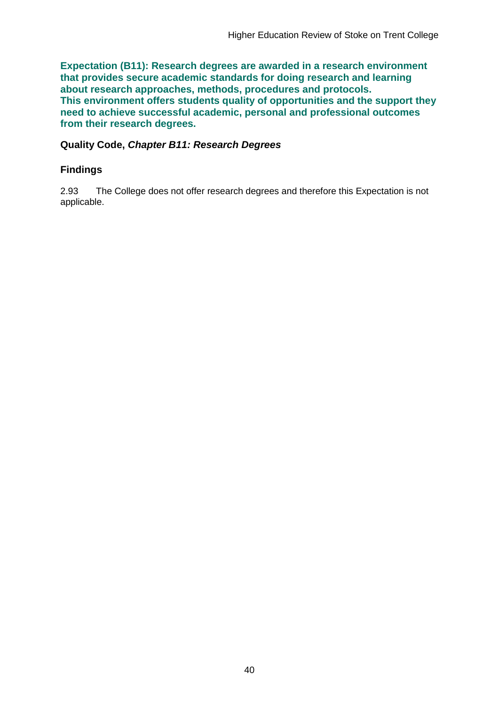**Expectation (B11): Research degrees are awarded in a research environment that provides secure academic standards for doing research and learning about research approaches, methods, procedures and protocols. This environment offers students quality of opportunities and the support they need to achieve successful academic, personal and professional outcomes from their research degrees.**

**Quality Code,** *Chapter B11: Research Degrees*

### **Findings**

2.93 The College does not offer research degrees and therefore this Expectation is not applicable.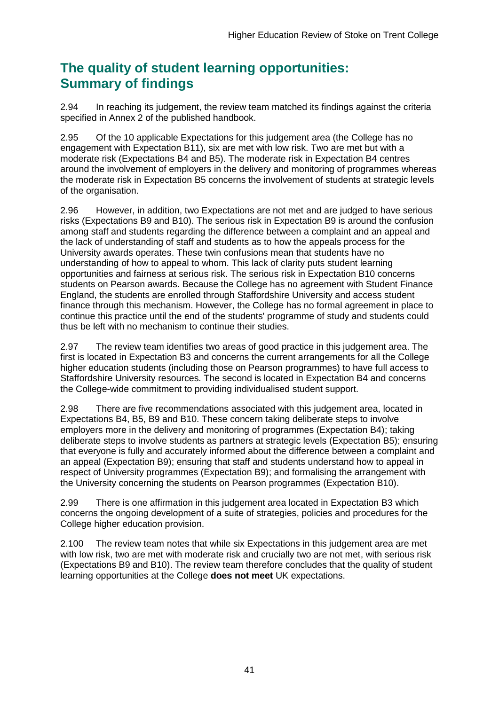# **The quality of student learning opportunities: Summary of findings**

2.94 In reaching its judgement, the review team matched its findings against the criteria specified in Annex 2 of the published handbook.

2.95 Of the 10 applicable Expectations for this judgement area (the College has no engagement with Expectation B11), six are met with low risk. Two are met but with a moderate risk (Expectations B4 and B5). The moderate risk in Expectation B4 centres around the involvement of employers in the delivery and monitoring of programmes whereas the moderate risk in Expectation B5 concerns the involvement of students at strategic levels of the organisation.

2.96 However, in addition, two Expectations are not met and are judged to have serious risks (Expectations B9 and B10). The serious risk in Expectation B9 is around the confusion among staff and students regarding the difference between a complaint and an appeal and the lack of understanding of staff and students as to how the appeals process for the University awards operates. These twin confusions mean that students have no understanding of how to appeal to whom. This lack of clarity puts student learning opportunities and fairness at serious risk. The serious risk in Expectation B10 concerns students on Pearson awards. Because the College has no agreement with Student Finance England, the students are enrolled through Staffordshire University and access student finance through this mechanism. However, the College has no formal agreement in place to continue this practice until the end of the students' programme of study and students could thus be left with no mechanism to continue their studies.

2.97 The review team identifies two areas of good practice in this judgement area. The first is located in Expectation B3 and concerns the current arrangements for all the College higher education students (including those on Pearson programmes) to have full access to Staffordshire University resources. The second is located in Expectation B4 and concerns the College-wide commitment to providing individualised student support.

2.98 There are five recommendations associated with this judgement area, located in Expectations B4, B5, B9 and B10. These concern taking deliberate steps to involve employers more in the delivery and monitoring of programmes (Expectation B4); taking deliberate steps to involve students as partners at strategic levels (Expectation B5); ensuring that everyone is fully and accurately informed about the difference between a complaint and an appeal (Expectation B9); ensuring that staff and students understand how to appeal in respect of University programmes (Expectation B9); and formalising the arrangement with the University concerning the students on Pearson programmes (Expectation B10).

2.99 There is one affirmation in this judgement area located in Expectation B3 which concerns the ongoing development of a suite of strategies, policies and procedures for the College higher education provision.

2.100 The review team notes that while six Expectations in this judgement area are met with low risk, two are met with moderate risk and crucially two are not met, with serious risk (Expectations B9 and B10). The review team therefore concludes that the quality of student learning opportunities at the College **does not meet** UK expectations.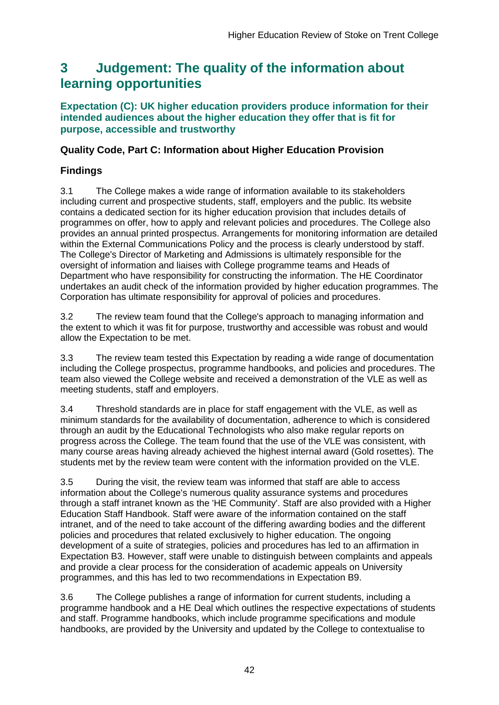# <span id="page-42-0"></span>**3 Judgement: The quality of the information about learning opportunities**

### **Expectation (C): UK higher education providers produce information for their intended audiences about the higher education they offer that is fit for purpose, accessible and trustworthy**

### **Quality Code, Part C: Information about Higher Education Provision**

### **Findings**

3.1 The College makes a wide range of information available to its stakeholders including current and prospective students, staff, employers and the public. Its website contains a dedicated section for its higher education provision that includes details of programmes on offer, how to apply and relevant policies and procedures. The College also provides an annual printed prospectus. Arrangements for monitoring information are detailed within the External Communications Policy and the process is clearly understood by staff. The College's Director of Marketing and Admissions is ultimately responsible for the oversight of information and liaises with College programme teams and Heads of Department who have responsibility for constructing the information. The HE Coordinator undertakes an audit check of the information provided by higher education programmes. The Corporation has ultimate responsibility for approval of policies and procedures.

3.2 The review team found that the College's approach to managing information and the extent to which it was fit for purpose, trustworthy and accessible was robust and would allow the Expectation to be met.

3.3 The review team tested this Expectation by reading a wide range of documentation including the College prospectus, programme handbooks, and policies and procedures. The team also viewed the College website and received a demonstration of the VLE as well as meeting students, staff and employers.

3.4 Threshold standards are in place for staff engagement with the VLE, as well as minimum standards for the availability of documentation, adherence to which is considered through an audit by the Educational Technologists who also make regular reports on progress across the College. The team found that the use of the VLE was consistent, with many course areas having already achieved the highest internal award (Gold rosettes). The students met by the review team were content with the information provided on the VLE.

3.5 During the visit, the review team was informed that staff are able to access information about the College's numerous quality assurance systems and procedures through a staff intranet known as the 'HE Community'. Staff are also provided with a Higher Education Staff Handbook. Staff were aware of the information contained on the staff intranet, and of the need to take account of the differing awarding bodies and the different policies and procedures that related exclusively to higher education. The ongoing development of a suite of strategies, policies and procedures has led to an affirmation in Expectation B3. However, staff were unable to distinguish between complaints and appeals and provide a clear process for the consideration of academic appeals on University programmes, and this has led to two recommendations in Expectation B9.

3.6 The College publishes a range of information for current students, including a programme handbook and a HE Deal which outlines the respective expectations of students and staff. Programme handbooks, which include programme specifications and module handbooks, are provided by the University and updated by the College to contextualise to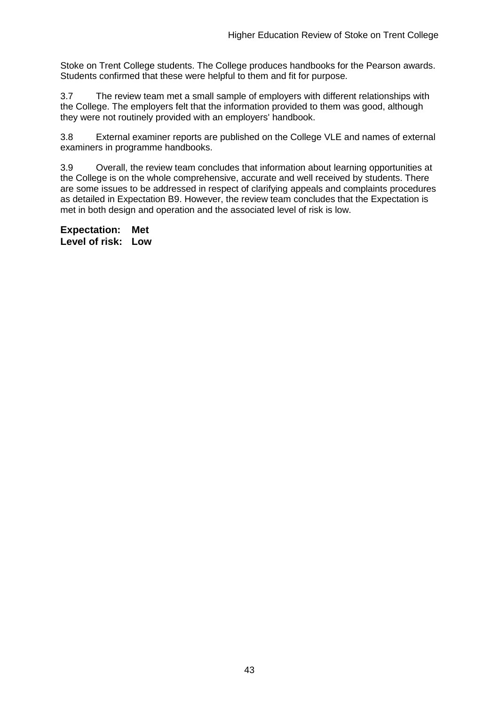Stoke on Trent College students. The College produces handbooks for the Pearson awards. Students confirmed that these were helpful to them and fit for purpose.

3.7 The review team met a small sample of employers with different relationships with the College. The employers felt that the information provided to them was good, although they were not routinely provided with an employers' handbook.

3.8 External examiner reports are published on the College VLE and names of external examiners in programme handbooks.

3.9 Overall, the review team concludes that information about learning opportunities at the College is on the whole comprehensive, accurate and well received by students. There are some issues to be addressed in respect of clarifying appeals and complaints procedures as detailed in Expectation B9. However, the review team concludes that the Expectation is met in both design and operation and the associated level of risk is low.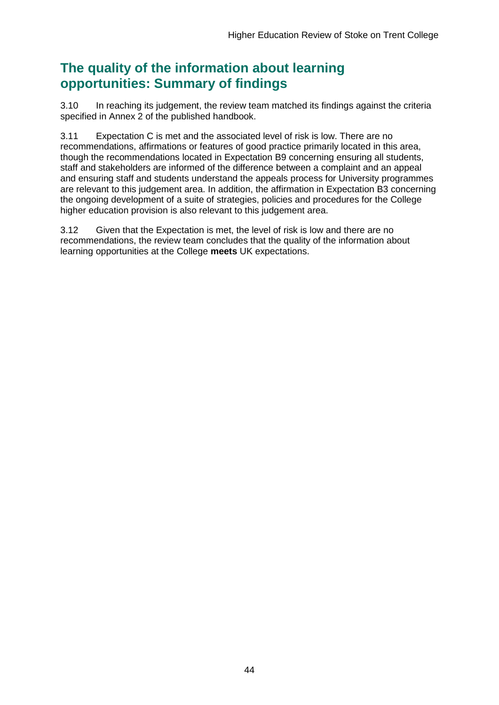# **The quality of the information about learning opportunities: Summary of findings**

3.10 In reaching its judgement, the review team matched its findings against the criteria specified in Annex 2 of the published handbook.

3.11 Expectation C is met and the associated level of risk is low. There are no recommendations, affirmations or features of good practice primarily located in this area, though the recommendations located in Expectation B9 concerning ensuring all students, staff and stakeholders are informed of the difference between a complaint and an appeal and ensuring staff and students understand the appeals process for University programmes are relevant to this judgement area. In addition, the affirmation in Expectation B3 concerning the ongoing development of a suite of strategies, policies and procedures for the College higher education provision is also relevant to this judgement area.

3.12 Given that the Expectation is met, the level of risk is low and there are no recommendations, the review team concludes that the quality of the information about learning opportunities at the College **meets** UK expectations.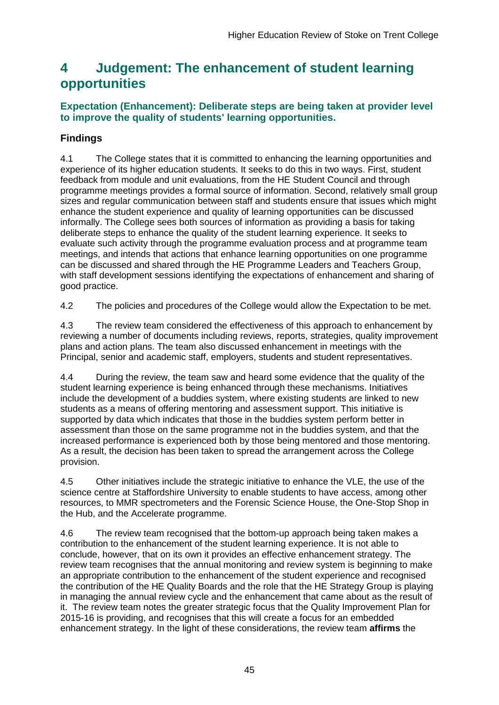# <span id="page-45-0"></span>**4 Judgement: The enhancement of student learning opportunities**

### **Expectation (Enhancement): Deliberate steps are being taken at provider level to improve the quality of students' learning opportunities.**

### **Findings**

4.1 The College states that it is committed to enhancing the learning opportunities and experience of its higher education students. It seeks to do this in two ways. First, student feedback from module and unit evaluations, from the HE Student Council and through programme meetings provides a formal source of information. Second, relatively small group sizes and regular communication between staff and students ensure that issues which might enhance the student experience and quality of learning opportunities can be discussed informally. The College sees both sources of information as providing a basis for taking deliberate steps to enhance the quality of the student learning experience. It seeks to evaluate such activity through the programme evaluation process and at programme team meetings, and intends that actions that enhance learning opportunities on one programme can be discussed and shared through the HE Programme Leaders and Teachers Group, with staff development sessions identifying the expectations of enhancement and sharing of good practice.

4.2 The policies and procedures of the College would allow the Expectation to be met.

4.3 The review team considered the effectiveness of this approach to enhancement by reviewing a number of documents including reviews, reports, strategies, quality improvement plans and action plans. The team also discussed enhancement in meetings with the Principal, senior and academic staff, employers, students and student representatives.

4.4 During the review, the team saw and heard some evidence that the quality of the student learning experience is being enhanced through these mechanisms. Initiatives include the development of a buddies system, where existing students are linked to new students as a means of offering mentoring and assessment support. This initiative is supported by data which indicates that those in the buddies system perform better in assessment than those on the same programme not in the buddies system, and that the increased performance is experienced both by those being mentored and those mentoring. As a result, the decision has been taken to spread the arrangement across the College provision.

4.5 Other initiatives include the strategic initiative to enhance the VLE, the use of the science centre at Staffordshire University to enable students to have access, among other resources, to MMR spectrometers and the Forensic Science House, the One-Stop Shop in the Hub, and the Accelerate programme.

4.6 The review team recognised that the bottom-up approach being taken makes a contribution to the enhancement of the student learning experience. It is not able to conclude, however, that on its own it provides an effective enhancement strategy. The review team recognises that the annual monitoring and review system is beginning to make an appropriate contribution to the enhancement of the student experience and recognised the contribution of the HE Quality Boards and the role that the HE Strategy Group is playing in managing the annual review cycle and the enhancement that came about as the result of it. The review team notes the greater strategic focus that the Quality Improvement Plan for 2015-16 is providing, and recognises that this will create a focus for an embedded enhancement strategy. In the light of these considerations, the review team **affirms** the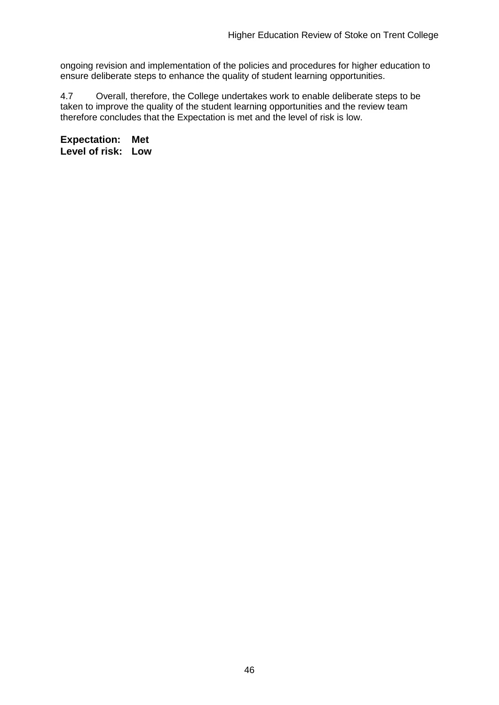ongoing revision and implementation of the policies and procedures for higher education to ensure deliberate steps to enhance the quality of student learning opportunities.

4.7 Overall, therefore, the College undertakes work to enable deliberate steps to be taken to improve the quality of the student learning opportunities and the review team therefore concludes that the Expectation is met and the level of risk is low.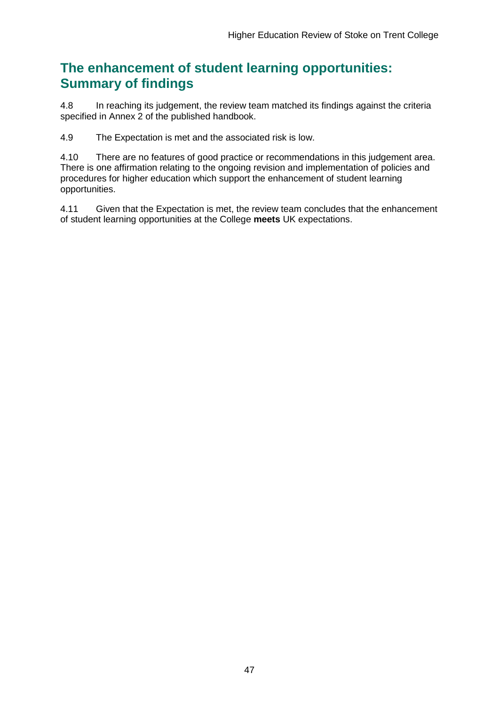# **The enhancement of student learning opportunities: Summary of findings**

4.8 In reaching its judgement, the review team matched its findings against the criteria specified in Annex 2 of the published handbook.

4.9 The Expectation is met and the associated risk is low.

4.10 There are no features of good practice or recommendations in this judgement area. There is one affirmation relating to the ongoing revision and implementation of policies and procedures for higher education which support the enhancement of student learning opportunities.

4.11 Given that the Expectation is met, the review team concludes that the enhancement of student learning opportunities at the College **meets** UK expectations.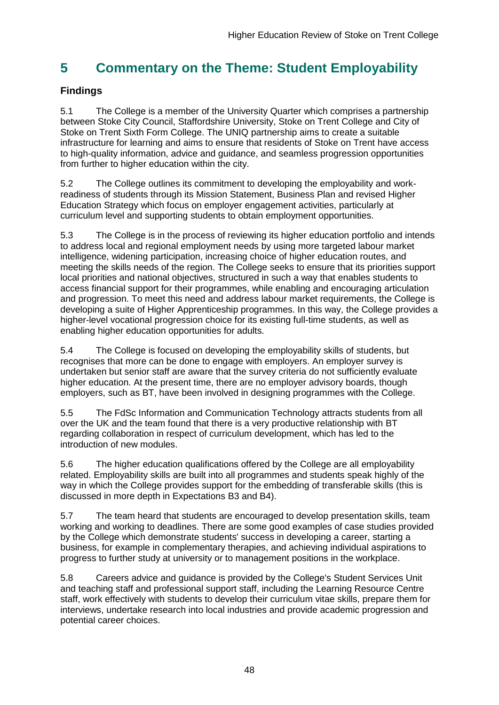# <span id="page-48-0"></span>**5 Commentary on the Theme: Student Employability**

### **Findings**

5.1 The College is a member of the University Quarter which comprises a partnership between Stoke City Council, Staffordshire University, Stoke on Trent College and City of Stoke on Trent Sixth Form College. The UNIQ partnership aims to create a suitable infrastructure for learning and aims to ensure that residents of Stoke on Trent have access to high-quality information, advice and guidance, and seamless progression opportunities from further to higher education within the city.

5.2 The College outlines its commitment to developing the employability and workreadiness of students through its Mission Statement, Business Plan and revised Higher Education Strategy which focus on employer engagement activities, particularly at curriculum level and supporting students to obtain employment opportunities.

5.3 The College is in the process of reviewing its higher education portfolio and intends to address local and regional employment needs by using more targeted labour market intelligence, widening participation, increasing choice of higher education routes, and meeting the skills needs of the region. The College seeks to ensure that its priorities support local priorities and national objectives, structured in such a way that enables students to access financial support for their programmes, while enabling and encouraging articulation and progression. To meet this need and address labour market requirements, the College is developing a suite of Higher Apprenticeship programmes. In this way, the College provides a higher-level vocational progression choice for its existing full-time students, as well as enabling higher education opportunities for adults.

5.4 The College is focused on developing the employability skills of students, but recognises that more can be done to engage with employers. An employer survey is undertaken but senior staff are aware that the survey criteria do not sufficiently evaluate higher education. At the present time, there are no employer advisory boards, though employers, such as BT, have been involved in designing programmes with the College.

5.5 The FdSc Information and Communication Technology attracts students from all over the UK and the team found that there is a very productive relationship with BT regarding collaboration in respect of curriculum development, which has led to the introduction of new modules.

5.6 The higher education qualifications offered by the College are all employability related. Employability skills are built into all programmes and students speak highly of the way in which the College provides support for the embedding of transferable skills (this is discussed in more depth in Expectations B3 and B4).

5.7 The team heard that students are encouraged to develop presentation skills, team working and working to deadlines. There are some good examples of case studies provided by the College which demonstrate students' success in developing a career, starting a business, for example in complementary therapies, and achieving individual aspirations to progress to further study at university or to management positions in the workplace.

5.8 Careers advice and guidance is provided by the College's Student Services Unit and teaching staff and professional support staff, including the Learning Resource Centre staff, work effectively with students to develop their curriculum vitae skills, prepare them for interviews, undertake research into local industries and provide academic progression and potential career choices.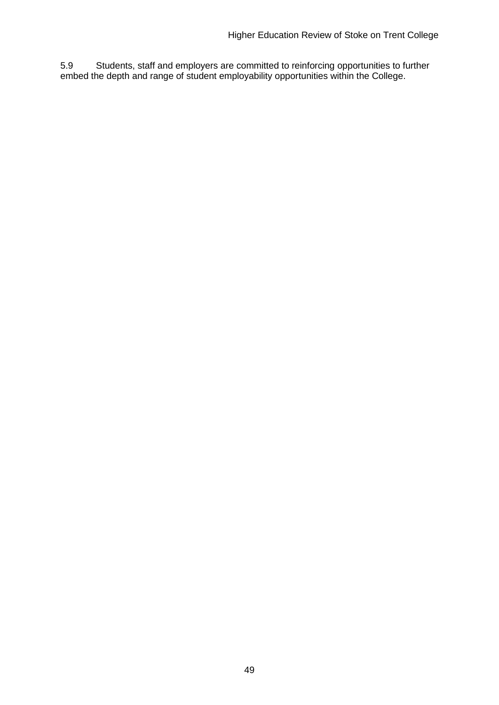<span id="page-49-0"></span>5.9 Students, staff and employers are committed to reinforcing opportunities to further embed the depth and range of student employability opportunities within the College.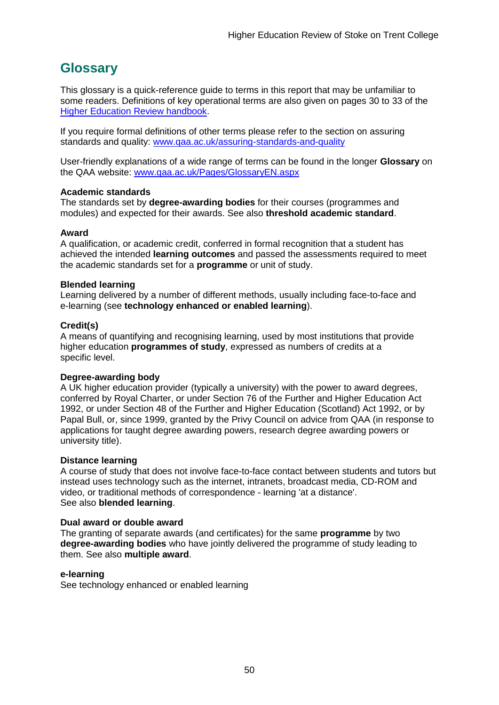# <span id="page-50-0"></span>**Glossary**

This glossary is a quick-reference guide to terms in this report that may be unfamiliar to some readers. Definitions of key operational terms are also given on pages 30 to 33 of the [Higher Education Review handbook.](http://www.qaa.ac.uk/publications/information-and-guidance/publication?PubID=2963)

If you require formal definitions of other terms please refer to the section on assuring standards and quality: [www.qaa.ac.uk/assuring-standards-and-quality](http://www.qaa.ac.uk/assuring-standards-and-quality)

User-friendly explanations of a wide range of terms can be found in the longer **Glossary** on the QAA website: [www.qaa.ac.uk/Pages/GlossaryEN.aspx](http://www.qaa.ac.uk/Pages/GlossaryEN.aspx)

#### **Academic standards**

The standards set by **degree-awarding bodies** for their courses (programmes and modules) and expected for their awards. See also **threshold academic standard**.

#### **Award**

A qualification, or academic credit, conferred in formal recognition that a student has achieved the intended **learning outcomes** and passed the assessments required to meet the academic standards set for a **programme** or unit of study.

#### **Blended learning**

Learning delivered by a number of different methods, usually including face-to-face and e-learning (see **[technology enhanced or enabled learning](http://www.qaa.ac.uk/AboutUs/glossary/Pages/glossary-t.aspx#t1)**).

#### **Credit(s)**

A means of quantifying and recognising learning, used by most institutions that provide higher education **programmes of study**, expressed as numbers of credits at a specific level.

#### **Degree-awarding body**

A UK [higher education provider](http://newlive.qaa.ac.uk/AboutUs/glossary/Pages/glossary-h.aspx#h2.1) (typically a [university\)](http://newlive.qaa.ac.uk/AboutUs/glossary/Pages/glossary-u-z.aspx#u4) with the power to award degrees, conferred by Royal Charter, or under Section 76 of the Further and Higher Education Act 1992, or under Section 48 of the Further and Higher Education (Scotland) Act 1992, or by Papal Bull, or, since 1999, granted by the Privy Council on advice from QAA (in response to applications for [taught degree awarding powers, research degree awarding powers or](http://newlive.qaa.ac.uk/AboutUs/DAP/Pages/default.aspx)  [university title\)](http://newlive.qaa.ac.uk/AboutUs/DAP/Pages/default.aspx).

#### **Distance learning**

A course of study that does not involve face-to-face contact between students and tutors but instead uses technology such as the internet, intranets, broadcast media, CD-ROM and video, or traditional methods of correspondence - learning 'at a distance'. See also **blended learning**.

#### **Dual award or double award**

The granting of separate awards (and certificates) for the same **programme** by two **degree-awarding bodies** who have jointly delivered the programme of study leading to them. See also **multiple award**.

#### **e-learning**

See technology enhanced or enabled learning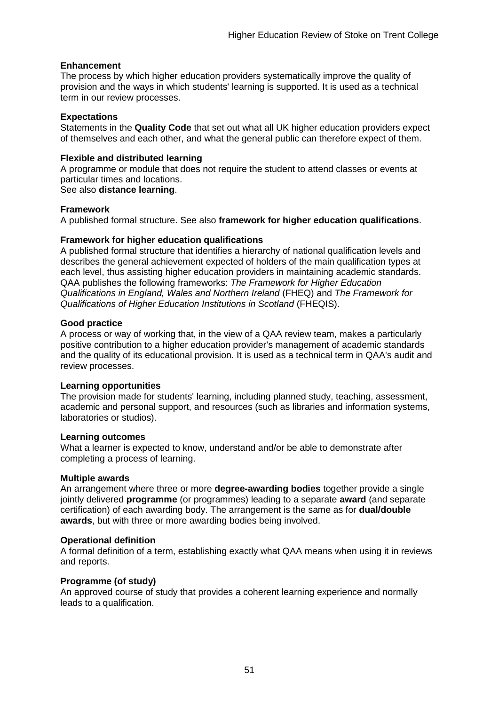#### **Enhancement**

The process by which [higher education providers](http://www.qaa.ac.uk/AboutUs/glossary/Pages/glossary-h.aspx#h2.1) systematically improve the quality of provision and the ways in which students' learning is supported. It is used as a technical term in our review processes.

#### **Expectations**

Statements in the **Quality Code** that set out what all UK [higher education providers](http://newlive.qaa.ac.uk/AboutUs/glossary/Pages/glossary-h.aspx#h2.1) expect of themselves and each other, and what the general public can therefore expect of them.

#### **Flexible and distributed learning**

A [programme](http://newlive.qaa.ac.uk/AboutUs/glossary/Pages/glossary-p.aspx#p12) or [module](http://newlive.qaa.ac.uk/AboutUs/glossary/Pages/glossary-m-o.aspx#m6) that does not require the student to attend classes or events at particular times and locations.

#### See also **distance learning**.

#### **Framework**

A published formal structure. See also **framework for higher education qualifications**.

#### **Framework for higher education qualifications**

A published formal structure that identifies a hierarchy of national qualification levels and describes the general achievement expected of holders of the main qualification types at each level, thus assisting higher education providers in maintaining academic standards. QAA publishes the following frameworks: *The Framework for Higher Education Qualifications in England, Wales and Northern Ireland* (FHEQ) and *The Framework for Qualifications of Higher Education Institutions in Scotland* (FHEQIS).

#### **Good practice**

A process or way of working that, in the view of a QAA review team, makes a particularly positive contribution to a higher education provider's management of academic standards and the quality of its educational provision. It is used as a technical term in QAA's audit and review processes.

#### **Learning opportunities**

The provision made for students' learning, including planned study, teaching, assessment, academic and personal support, and resources (such as libraries and information systems, laboratories or studios).

#### **Learning outcomes**

What a learner is expected to know, understand and/or be able to demonstrate after completing a process of learning.

#### **Multiple awards**

An arrangement where three or more **degree-awarding bodies** together provide a single jointly delivered **programme** (or programmes) leading to a separate **award** (and separate certification) of each awarding body. The arrangement is the same as for **dual/double awards**, but with three or more awarding bodies being involved.

#### **Operational definition**

A formal definition of a term, establishing exactly what QAA means when using it in reviews and reports.

#### **Programme (of study)**

An approved course of study that provides a coherent learning experience and normally leads to a qualification.